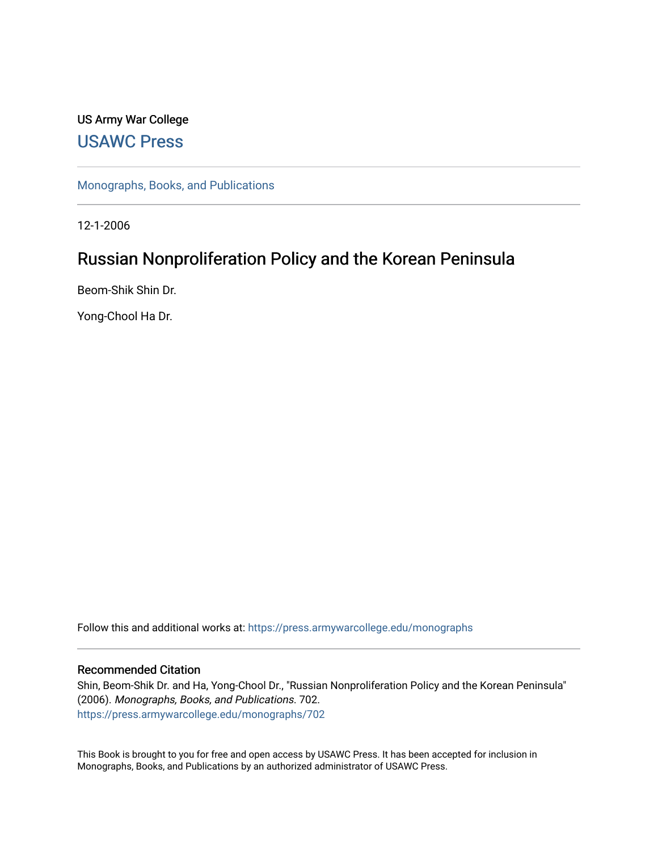# US Army War College [USAWC Press](https://press.armywarcollege.edu/)

[Monographs, Books, and Publications](https://press.armywarcollege.edu/monographs) 

12-1-2006

# Russian Nonproliferation Policy and the Korean Peninsula

Beom-Shik Shin Dr.

Yong-Chool Ha Dr.

Follow this and additional works at: [https://press.armywarcollege.edu/monographs](https://press.armywarcollege.edu/monographs?utm_source=press.armywarcollege.edu%2Fmonographs%2F702&utm_medium=PDF&utm_campaign=PDFCoverPages)

#### Recommended Citation

Shin, Beom-Shik Dr. and Ha, Yong-Chool Dr., "Russian Nonproliferation Policy and the Korean Peninsula" (2006). Monographs, Books, and Publications. 702. [https://press.armywarcollege.edu/monographs/702](https://press.armywarcollege.edu/monographs/702?utm_source=press.armywarcollege.edu%2Fmonographs%2F702&utm_medium=PDF&utm_campaign=PDFCoverPages)

This Book is brought to you for free and open access by USAWC Press. It has been accepted for inclusion in Monographs, Books, and Publications by an authorized administrator of USAWC Press.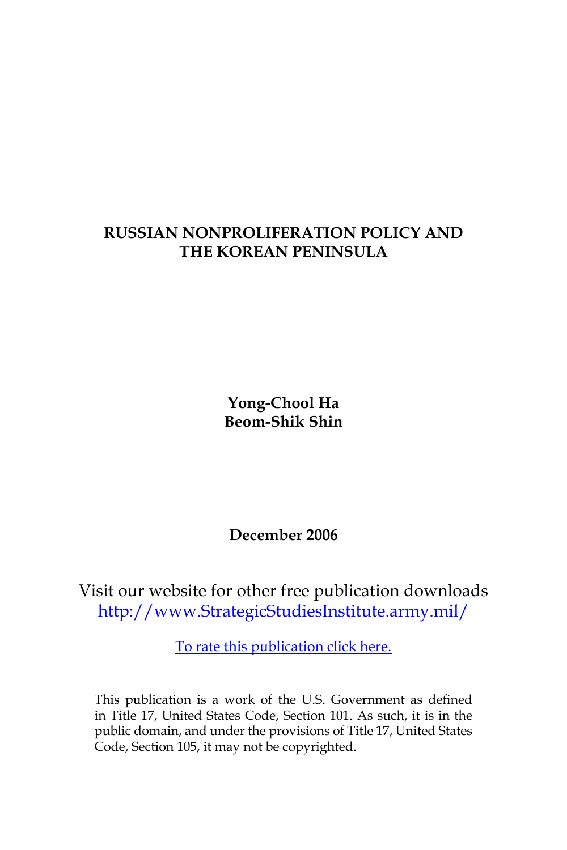# **RUSSIAN NONPROLIFERATION POLICY AND THE KOREAN PENINSULA**

**Yong-Chool Ha Beom-Shik Shin**

**December 2006**

Visit our website for other free publication downloads [http://www.StrategicStudiesInstitute.army.mil/](http://www.StrategicStudiesInstitute.army.mil)

[To rate this publication click here.](http://www.strategicstudiesinstitute.army.mil/pubs/display.cfm?pubID=747)

This publication is a work of the U.S. Government as defined in Title 17, United States Code, Section 101. As such, it is in the public domain, and under the provisions of Title 17, United States Code, Section 105, it may not be copyrighted.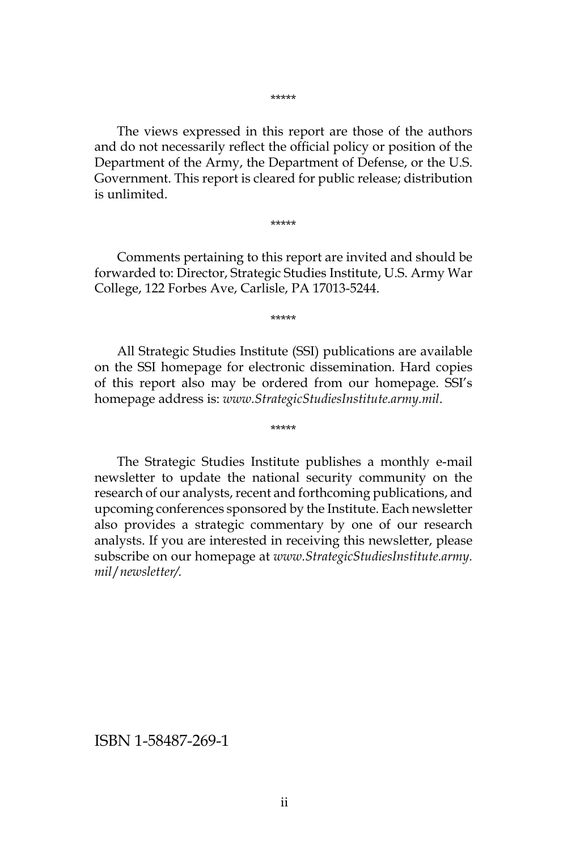\*\*\*\*\*

The views expressed in this report are those of the authors and do not necessarily reflect the official policy or position of the Department of the Army, the Department of Defense, or the U.S. Government. This report is cleared for public release; distribution is unlimited.

\*\*\*\*\*

Comments pertaining to this report are invited and should be forwarded to: Director, Strategic Studies Institute, U.S. Army War College, 122 Forbes Ave, Carlisle, PA 17013-5244.

\*\*\*\*\*

All Strategic Studies Institute (SSI) publications are available on the SSI homepage for electronic dissemination. Hard copies of this report also may be ordered from our homepage. SSI's homepage address is: *www.StrategicStudiesInstitute.army.mil*.

\*\*\*\*\*

The Strategic Studies Institute publishes a monthly e-mail newsletter to update the national security community on the research of our analysts, recent and forthcoming publications, and upcoming conferences sponsored by the Institute. Each newsletter also provides a strategic commentary by one of our research analysts. If you are interested in receiving this newsletter, please subscribe on our homepage at *www.StrategicStudiesInstitute.army. mil*/*newsletter/.*

ISBN 1-58487-269-1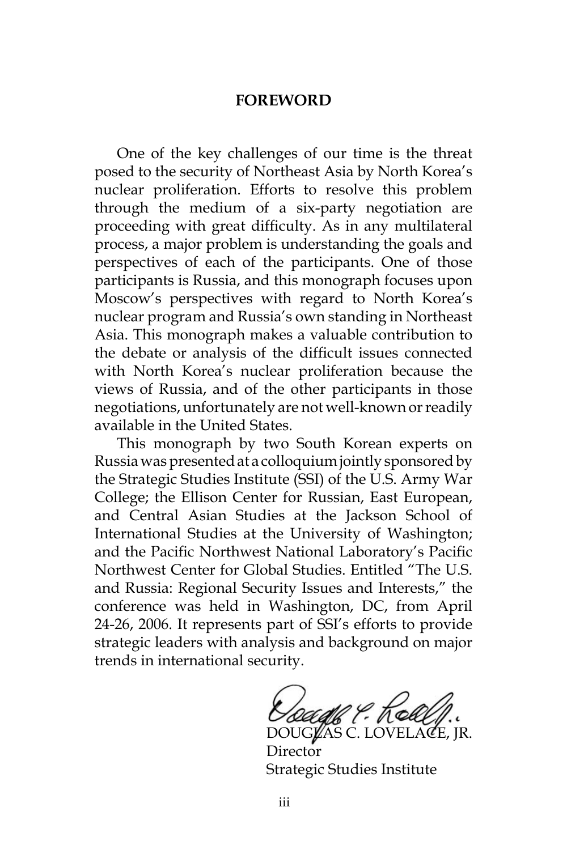#### **FOREWORD**

One of the key challenges of our time is the threat posed to the security of Northeast Asia by North Korea's nuclear proliferation. Efforts to resolve this problem through the medium of a six-party negotiation are proceeding with great difficulty. As in any multilateral process, a major problem is understanding the goals and perspectives of each of the participants. One of those participants is Russia, and this monograph focuses upon Moscow's perspectives with regard to North Korea's nuclear program and Russia's own standing in Northeast Asia. This monograph makes a valuable contribution to the debate or analysis of the difficult issues connected with North Korea's nuclear proliferation because the views of Russia, and of the other participants in those negotiations, unfortunately are not well-known or readily available in the United States.

This monograph by two South Korean experts on Russia was presented at a colloquium jointly sponsored by the Strategic Studies Institute (SSI) of the U.S. Army War College; the Ellison Center for Russian, East European, and Central Asian Studies at the Jackson School of International Studies at the University of Washington; and the Pacific Northwest National Laboratory's Pacific Northwest Center for Global Studies. Entitled "The U.S. and Russia: Regional Security Issues and Interests," the conference was held in Washington, DC, from April 24-26, 2006. It represents part of SSI's efforts to provide strategic leaders with analysis and background on major trends in international security.

DOUGLAS C. LOVELACE, IR.

Director Strategic Studies Institute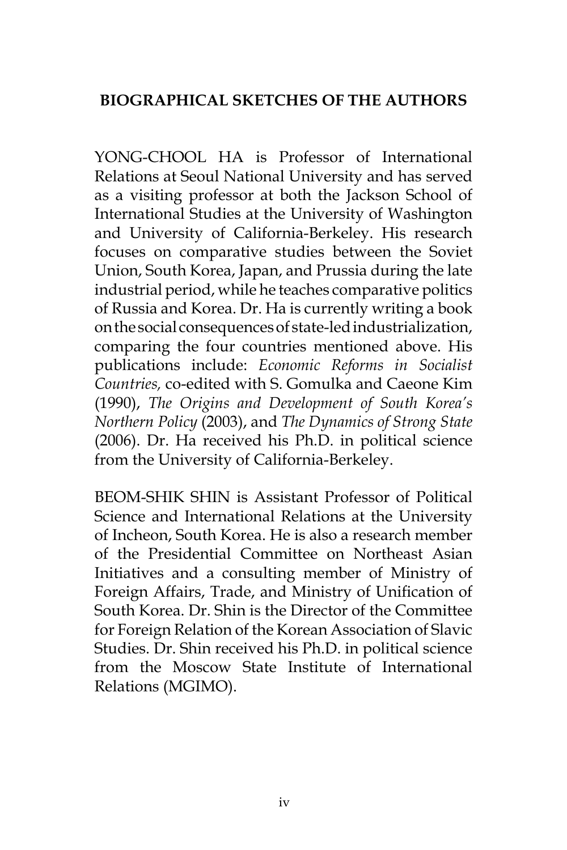# **BIOGRAPHICAL SKETCHES OF THE AUTHORS**

YONG-CHOOL HA is Professor of International Relations at Seoul National University and has served as a visiting professor at both the Jackson School of International Studies at the University of Washington and University of California-Berkeley. His research focuses on comparative studies between the Soviet Union, South Korea, Japan, and Prussia during the late industrial period, while he teaches comparative politics of Russia and Korea. Dr. Ha is currently writing a book on the social consequences of state-led industrialization, comparing the four countries mentioned above. His publications include: *Economic Reforms in Socialist Countries,* co-edited with S. Gomulka and Caeone Kim (1990), *The Origins and Development of South Korea's Northern Policy* (2003), and *The Dynamics of Strong State*  (2006). Dr. Ha received his Ph.D. in political science from the University of California-Berkeley.

BEOM-SHIK SHIN is Assistant Professor of Political Science and International Relations at the University of Incheon, South Korea. He is also a research member of the Presidential Committee on Northeast Asian Initiatives and a consulting member of Ministry of Foreign Affairs, Trade, and Ministry of Unification of South Korea. Dr. Shin is the Director of the Committee for Foreign Relation of the Korean Association of Slavic Studies. Dr. Shin received his Ph.D. in political science from the Moscow State Institute of International Relations (MGIMO).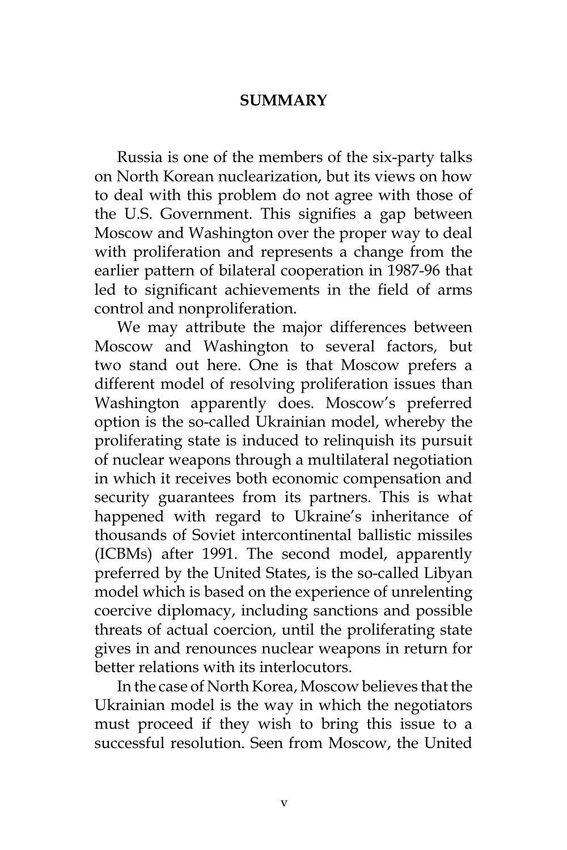#### **SUMMARY**

Russia is one of the members of the six-party talks on North Korean nuclearization, but its views on how to deal with this problem do not agree with those of the U.S. Government. This signifies a gap between Moscow and Washington over the proper way to deal with proliferation and represents a change from the earlier pattern of bilateral cooperation in 1987-96 that led to significant achievements in the field of arms control and nonproliferation.

We may attribute the major differences between Moscow and Washington to several factors, but two stand out here. One is that Moscow prefers a different model of resolving proliferation issues than Washington apparently does. Moscow's preferred option is the so-called Ukrainian model, whereby the proliferating state is induced to relinquish its pursuit of nuclear weapons through a multilateral negotiation in which it receives both economic compensation and security guarantees from its partners. This is what happened with regard to Ukraine's inheritance of thousands of Soviet intercontinental ballistic missiles (ICBMs) after 1991. The second model, apparently preferred by the United States, is the so-called Libyan model which is based on the experience of unrelenting coercive diplomacy, including sanctions and possible threats of actual coercion, until the proliferating state gives in and renounces nuclear weapons in return for better relations with its interlocutors.

In the case of North Korea, Moscow believes that the Ukrainian model is the way in which the negotiators must proceed if they wish to bring this issue to a successful resolution. Seen from Moscow, the United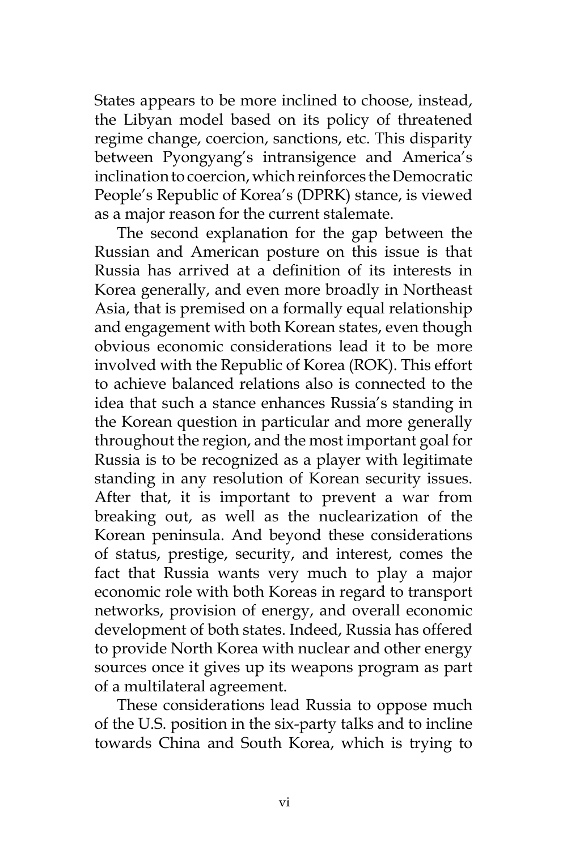States appears to be more inclined to choose, instead, the Libyan model based on its policy of threatened regime change, coercion, sanctions, etc. This disparity between Pyongyang's intransigence and America's inclination to coercion, which reinforces the Democratic People's Republic of Korea's (DPRK) stance, is viewed as a major reason for the current stalemate.

The second explanation for the gap between the Russian and American posture on this issue is that Russia has arrived at a definition of its interests in Korea generally, and even more broadly in Northeast Asia, that is premised on a formally equal relationship and engagement with both Korean states, even though obvious economic considerations lead it to be more involved with the Republic of Korea (ROK). This effort to achieve balanced relations also is connected to the idea that such a stance enhances Russia's standing in the Korean question in particular and more generally throughout the region, and the most important goal for Russia is to be recognized as a player with legitimate standing in any resolution of Korean security issues. After that, it is important to prevent a war from breaking out, as well as the nuclearization of the Korean peninsula. And beyond these considerations of status, prestige, security, and interest, comes the fact that Russia wants very much to play a major economic role with both Koreas in regard to transport networks, provision of energy, and overall economic development of both states. Indeed, Russia has offered to provide North Korea with nuclear and other energy sources once it gives up its weapons program as part of a multilateral agreement.

These considerations lead Russia to oppose much of the U.S. position in the six-party talks and to incline towards China and South Korea, which is trying to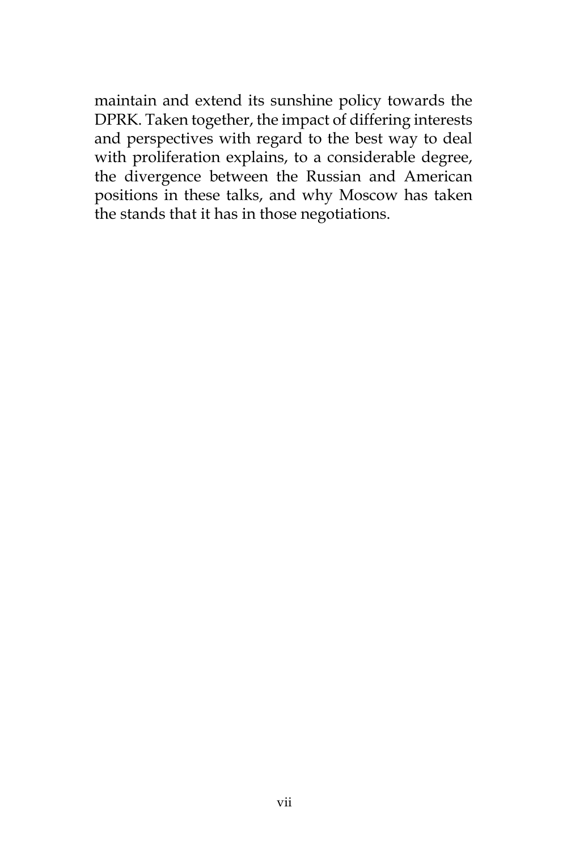maintain and extend its sunshine policy towards the DPRK. Taken together, the impact of differing interests and perspectives with regard to the best way to deal with proliferation explains, to a considerable degree, the divergence between the Russian and American positions in these talks, and why Moscow has taken the stands that it has in those negotiations.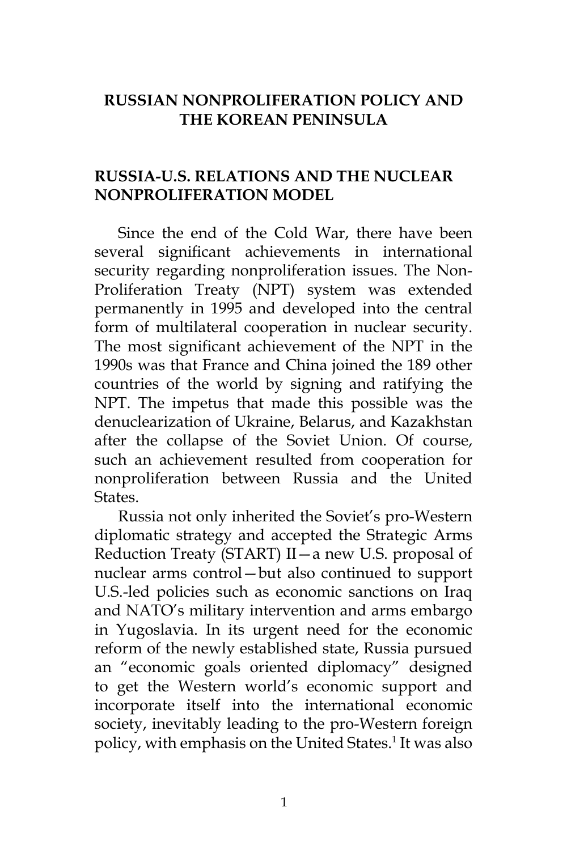# **RUSSIAN NONPROLIFERATION POLICY AND THE KOREAN PENINSULA**

# **RUSSIA-U.S. RELATIONS AND THE NUCLEAR NONPROLIFERATION MODEL**

Since the end of the Cold War, there have been several significant achievements in international security regarding nonproliferation issues. The Non-Proliferation Treaty (NPT) system was extended permanently in 1995 and developed into the central form of multilateral cooperation in nuclear security. The most significant achievement of the NPT in the 1990s was that France and China joined the 189 other countries of the world by signing and ratifying the NPT. The impetus that made this possible was the denuclearization of Ukraine, Belarus, and Kazakhstan after the collapse of the Soviet Union. Of course, such an achievement resulted from cooperation for nonproliferation between Russia and the United States.

Russia not only inherited the Soviet's pro-Western diplomatic strategy and accepted the Strategic Arms Reduction Treaty (START) II—a new U.S. proposal of nuclear arms control—but also continued to support U.S.-led policies such as economic sanctions on Iraq and NATO's military intervention and arms embargo in Yugoslavia. In its urgent need for the economic reform of the newly established state, Russia pursued an "economic goals oriented diplomacy" designed to get the Western world's economic support and incorporate itself into the international economic society, inevitably leading to the pro-Western foreign policy, with emphasis on the United States.1 It was also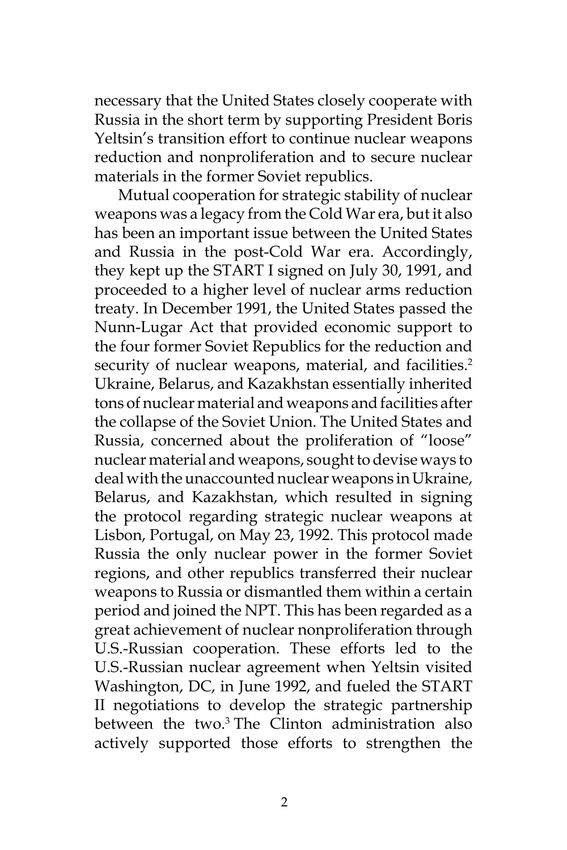necessary that the United States closely cooperate with Russia in the short term by supporting President Boris Yeltsin's transition effort to continue nuclear weapons reduction and nonproliferation and to secure nuclear materials in the former Soviet republics.

Mutual cooperation for strategic stability of nuclear weapons was a legacy from the Cold War era, but it also has been an important issue between the United States and Russia in the post-Cold War era. Accordingly, they kept up the START I signed on July 30, 1991, and proceeded to a higher level of nuclear arms reduction treaty. In December 1991, the United States passed the Nunn-Lugar Act that provided economic support to the four former Soviet Republics for the reduction and security of nuclear weapons, material, and facilities.<sup>2</sup> Ukraine, Belarus, and Kazakhstan essentially inherited tons of nuclear material and weapons and facilities after the collapse of the Soviet Union. The United States and Russia, concerned about the proliferation of "loose" nuclear material and weapons, sought to devise ways to deal with the unaccounted nuclear weapons in Ukraine, Belarus, and Kazakhstan, which resulted in signing the protocol regarding strategic nuclear weapons at Lisbon, Portugal, on May 23, 1992. This protocol made Russia the only nuclear power in the former Soviet regions, and other republics transferred their nuclear weapons to Russia or dismantled them within a certain period and joined the NPT. This has been regarded as a great achievement of nuclear nonproliferation through U.S.-Russian cooperation. These efforts led to the U.S.-Russian nuclear agreement when Yeltsin visited Washington, DC, in June 1992, and fueled the START II negotiations to develop the strategic partnership between the two.3 The Clinton administration also actively supported those efforts to strengthen the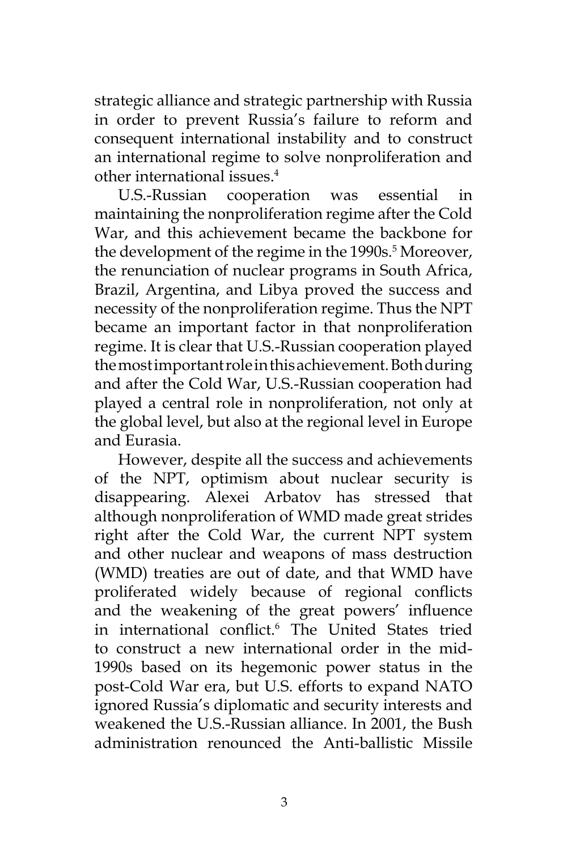strategic alliance and strategic partnership with Russia in order to prevent Russia's failure to reform and consequent international instability and to construct an international regime to solve nonproliferation and other international issues.4

U.S.-Russian cooperation was essential in maintaining the nonproliferation regime after the Cold War, and this achievement became the backbone for the development of the regime in the 1990s.<sup>5</sup> Moreover, the renunciation of nuclear programs in South Africa, Brazil, Argentina, and Libya proved the success and necessity of the nonproliferation regime. Thus the NPT became an important factor in that nonproliferation regime. It is clear that U.S.-Russian cooperation played the most important role in this achievement. Both during and after the Cold War, U.S.-Russian cooperation had played a central role in nonproliferation, not only at the global level, but also at the regional level in Europe and Eurasia.

However, despite all the success and achievements of the NPT, optimism about nuclear security is disappearing. Alexei Arbatov has stressed that although nonproliferation of WMD made great strides right after the Cold War, the current NPT system and other nuclear and weapons of mass destruction (WMD) treaties are out of date, and that WMD have proliferated widely because of regional conflicts and the weakening of the great powers' influence in international conflict.<sup>6</sup> The United States tried to construct a new international order in the mid-1990s based on its hegemonic power status in the post-Cold War era, but U.S. efforts to expand NATO ignored Russia's diplomatic and security interests and weakened the U.S.-Russian alliance. In 2001, the Bush administration renounced the Anti-ballistic Missile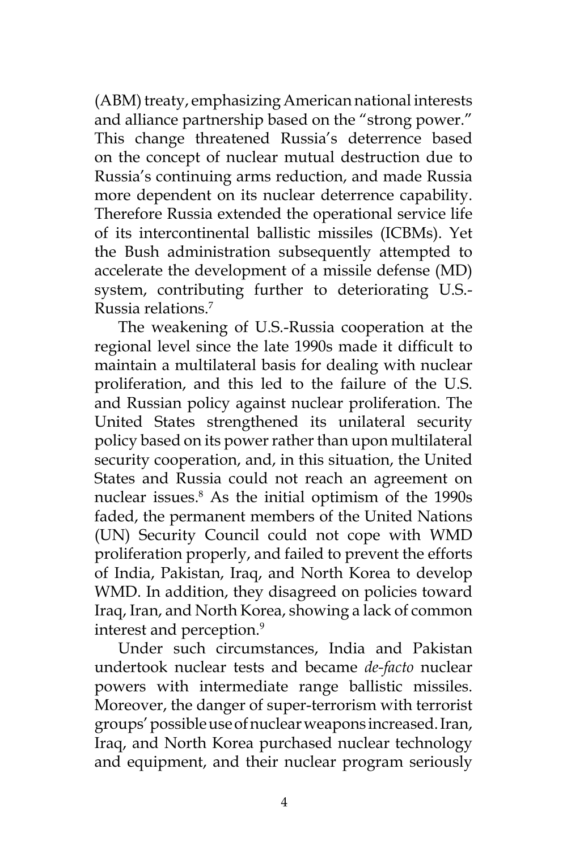(ABM) treaty, emphasizing American national interests and alliance partnership based on the "strong power." This change threatened Russia's deterrence based on the concept of nuclear mutual destruction due to Russia's continuing arms reduction, and made Russia more dependent on its nuclear deterrence capability. Therefore Russia extended the operational service life of its intercontinental ballistic missiles (ICBMs). Yet the Bush administration subsequently attempted to accelerate the development of a missile defense (MD) system, contributing further to deteriorating U.S.- Russia relations.7

The weakening of U.S.-Russia cooperation at the regional level since the late 1990s made it difficult to maintain a multilateral basis for dealing with nuclear proliferation, and this led to the failure of the U.S. and Russian policy against nuclear proliferation. The United States strengthened its unilateral security policy based on its power rather than upon multilateral security cooperation, and, in this situation, the United States and Russia could not reach an agreement on nuclear issues.<sup>8</sup> As the initial optimism of the 1990s faded, the permanent members of the United Nations (UN) Security Council could not cope with WMD proliferation properly, and failed to prevent the efforts of India, Pakistan, Iraq, and North Korea to develop WMD. In addition, they disagreed on policies toward Iraq, Iran, and North Korea, showing a lack of common interest and perception.<sup>9</sup>

Under such circumstances, India and Pakistan undertook nuclear tests and became *de-facto* nuclear powers with intermediate range ballistic missiles. Moreover, the danger of super-terrorism with terrorist groups' possible use of nuclear weapons increased. Iran, Iraq, and North Korea purchased nuclear technology and equipment, and their nuclear program seriously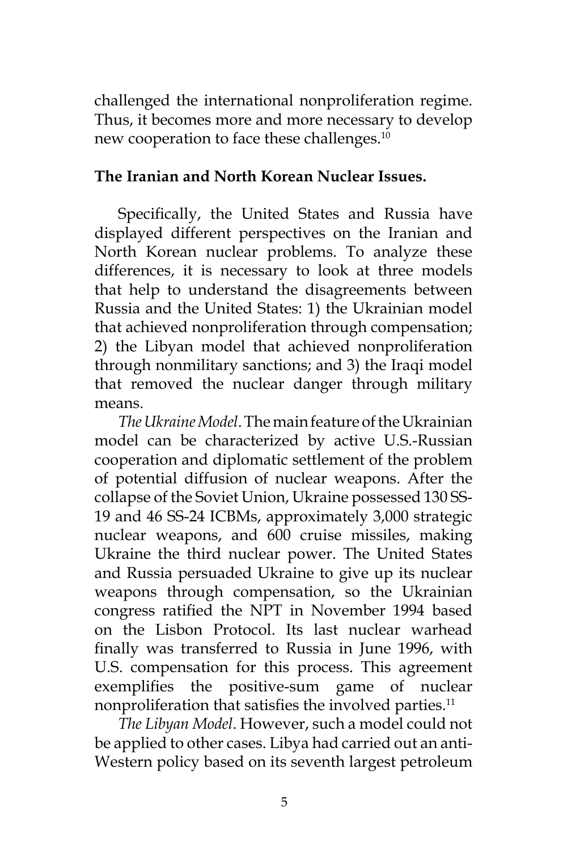challenged the international nonproliferation regime. Thus, it becomes more and more necessary to develop new cooperation to face these challenges.<sup>10</sup>

### **The Iranian and North Korean Nuclear Issues.**

Specifically, the United States and Russia have displayed different perspectives on the Iranian and North Korean nuclear problems. To analyze these differences, it is necessary to look at three models that help to understand the disagreements between Russia and the United States: 1) the Ukrainian model that achieved nonproliferation through compensation; 2) the Libyan model that achieved nonproliferation through nonmilitary sanctions; and 3) the Iraqi model that removed the nuclear danger through military means.

*The Ukraine Model*. The main feature of the Ukrainian model can be characterized by active U.S.-Russian cooperation and diplomatic settlement of the problem of potential diffusion of nuclear weapons. After the collapse of the Soviet Union, Ukraine possessed 130 SS-19 and 46 SS-24 ICBMs, approximately 3,000 strategic nuclear weapons, and 600 cruise missiles, making Ukraine the third nuclear power. The United States and Russia persuaded Ukraine to give up its nuclear weapons through compensation, so the Ukrainian congress ratified the NPT in November 1994 based on the Lisbon Protocol. Its last nuclear warhead finally was transferred to Russia in June 1996, with U.S. compensation for this process. This agreement exemplifies the positive-sum game of nuclear nonproliferation that satisfies the involved parties.<sup>11</sup>

*The Libyan Model*. However, such a model could not be applied to other cases. Libya had carried out an anti-Western policy based on its seventh largest petroleum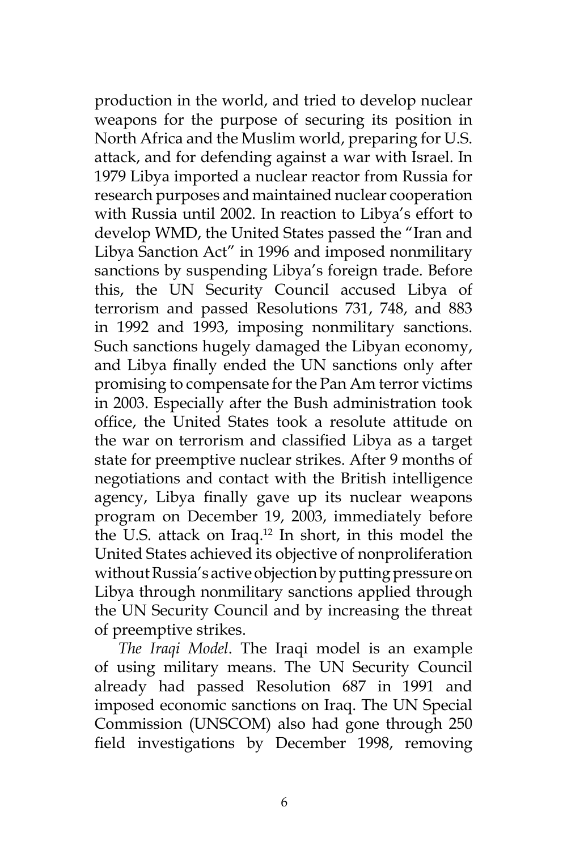production in the world, and tried to develop nuclear weapons for the purpose of securing its position in North Africa and the Muslim world, preparing for U.S. attack, and for defending against a war with Israel. In 1979 Libya imported a nuclear reactor from Russia for research purposes and maintained nuclear cooperation with Russia until 2002. In reaction to Libya's effort to develop WMD, the United States passed the "Iran and Libya Sanction Act" in 1996 and imposed nonmilitary sanctions by suspending Libya's foreign trade. Before this, the UN Security Council accused Libya of terrorism and passed Resolutions 731, 748, and 883 in 1992 and 1993, imposing nonmilitary sanctions. Such sanctions hugely damaged the Libyan economy, and Libya finally ended the UN sanctions only after promising to compensate for the Pan Am terror victims in 2003. Especially after the Bush administration took office, the United States took a resolute attitude on the war on terrorism and classified Libya as a target state for preemptive nuclear strikes. After 9 months of negotiations and contact with the British intelligence agency, Libya finally gave up its nuclear weapons program on December 19, 2003, immediately before the U.S. attack on Iraq.12 In short, in this model the United States achieved its objective of nonproliferation without Russia's active objection by putting pressure on Libya through nonmilitary sanctions applied through the UN Security Council and by increasing the threat of preemptive strikes.

*The Iraqi Model*. The Iraqi model is an example of using military means. The UN Security Council already had passed Resolution 687 in 1991 and imposed economic sanctions on Iraq. The UN Special Commission (UNSCOM) also had gone through 250 field investigations by December 1998, removing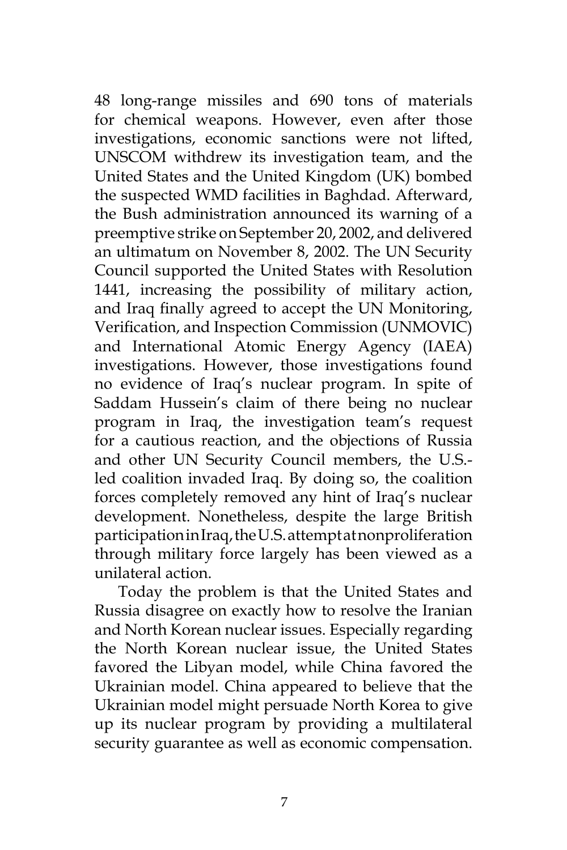48 long-range missiles and 690 tons of materials for chemical weapons. However, even after those investigations, economic sanctions were not lifted, UNSCOM withdrew its investigation team, and the United States and the United Kingdom (UK) bombed the suspected WMD facilities in Baghdad. Afterward, the Bush administration announced its warning of a preemptive strike on September 20, 2002, and delivered an ultimatum on November 8, 2002. The UN Security Council supported the United States with Resolution 1441, increasing the possibility of military action, and Iraq finally agreed to accept the UN Monitoring, Verification, and Inspection Commission (UNMOVIC) and International Atomic Energy Agency (IAEA) investigations. However, those investigations found no evidence of Iraq's nuclear program. In spite of Saddam Hussein's claim of there being no nuclear program in Iraq, the investigation team's request for a cautious reaction, and the objections of Russia and other UN Security Council members, the U.S. led coalition invaded Iraq. By doing so, the coalition forces completely removed any hint of Iraq's nuclear development. Nonetheless, despite the large British participation in Iraq, the U.S. attempt at nonproliferation through military force largely has been viewed as a unilateral action.

Today the problem is that the United States and Russia disagree on exactly how to resolve the Iranian and North Korean nuclear issues. Especially regarding the North Korean nuclear issue, the United States favored the Libyan model, while China favored the Ukrainian model. China appeared to believe that the Ukrainian model might persuade North Korea to give up its nuclear program by providing a multilateral security guarantee as well as economic compensation.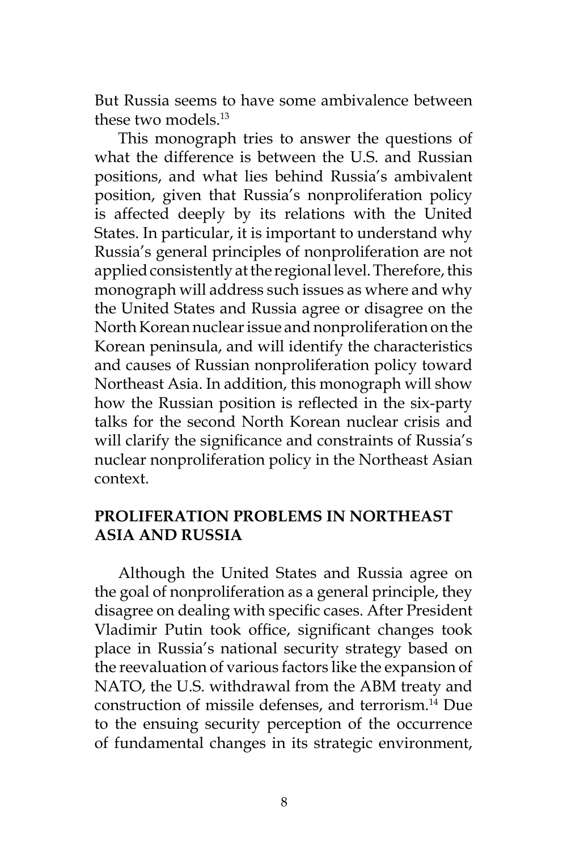But Russia seems to have some ambivalence between these two models<sup>13</sup>

This monograph tries to answer the questions of what the difference is between the U.S. and Russian positions, and what lies behind Russia's ambivalent position, given that Russia's nonproliferation policy is affected deeply by its relations with the United States. In particular, it is important to understand why Russia's general principles of nonproliferation are not applied consistently at the regional level. Therefore, this monograph will address such issues as where and why the United States and Russia agree or disagree on the North Korean nuclear issue and nonproliferation on the Korean peninsula, and will identify the characteristics and causes of Russian nonproliferation policy toward Northeast Asia. In addition, this monograph will show how the Russian position is reflected in the six-party talks for the second North Korean nuclear crisis and will clarify the significance and constraints of Russia's nuclear nonproliferation policy in the Northeast Asian context.

### **PROLIFERATION PROBLEMS IN NORTHEAST ASIA AND RUSSIA**

Although the United States and Russia agree on the goal of nonproliferation as a general principle, they disagree on dealing with specific cases. After President Vladimir Putin took office, significant changes took place in Russia's national security strategy based on the reevaluation of various factors like the expansion of NATO, the U.S. withdrawal from the ABM treaty and construction of missile defenses, and terrorism.14 Due to the ensuing security perception of the occurrence of fundamental changes in its strategic environment,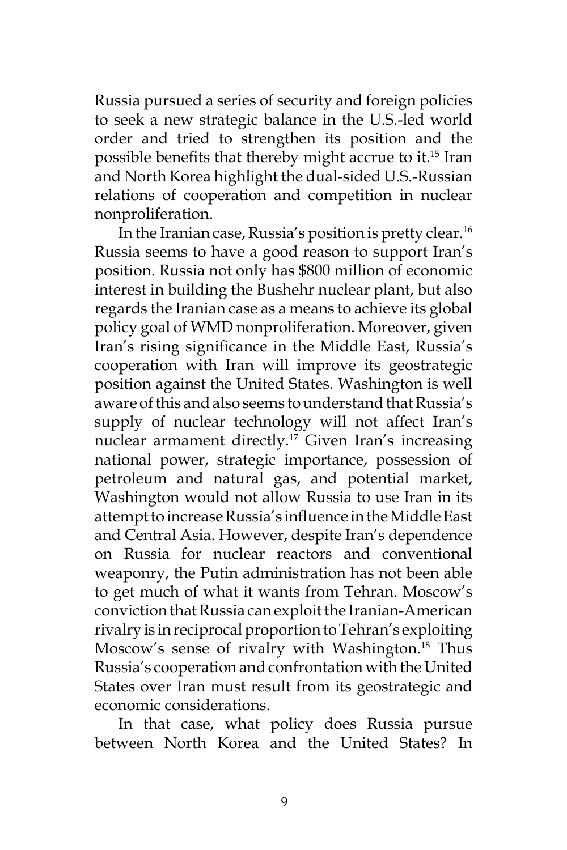Russia pursued a series of security and foreign policies to seek a new strategic balance in the U.S.-led world order and tried to strengthen its position and the possible benefits that thereby might accrue to it.15 Iran and North Korea highlight the dual-sided U.S.-Russian relations of cooperation and competition in nuclear nonproliferation.

In the Iranian case, Russia's position is pretty clear.16 Russia seems to have a good reason to support Iran's position. Russia not only has \$800 million of economic interest in building the Bushehr nuclear plant, but also regards the Iranian case as a means to achieve its global policy goal of WMD nonproliferation. Moreover, given Iran's rising significance in the Middle East, Russia's cooperation with Iran will improve its geostrategic position against the United States. Washington is well aware of this and also seems to understand that Russia's supply of nuclear technology will not affect Iran's nuclear armament directly.<sup>17</sup> Given Iran's increasing national power, strategic importance, possession of petroleum and natural gas, and potential market, Washington would not allow Russia to use Iran in its attempt to increase Russia's influence in the Middle East and Central Asia. However, despite Iran's dependence on Russia for nuclear reactors and conventional weaponry, the Putin administration has not been able to get much of what it wants from Tehran. Moscow's conviction that Russia can exploit the Iranian-American rivalry is in reciprocal proportion to Tehran's exploiting Moscow's sense of rivalry with Washington.<sup>18</sup> Thus Russia's cooperation and confrontation with the United States over Iran must result from its geostrategic and economic considerations.

In that case, what policy does Russia pursue between North Korea and the United States? In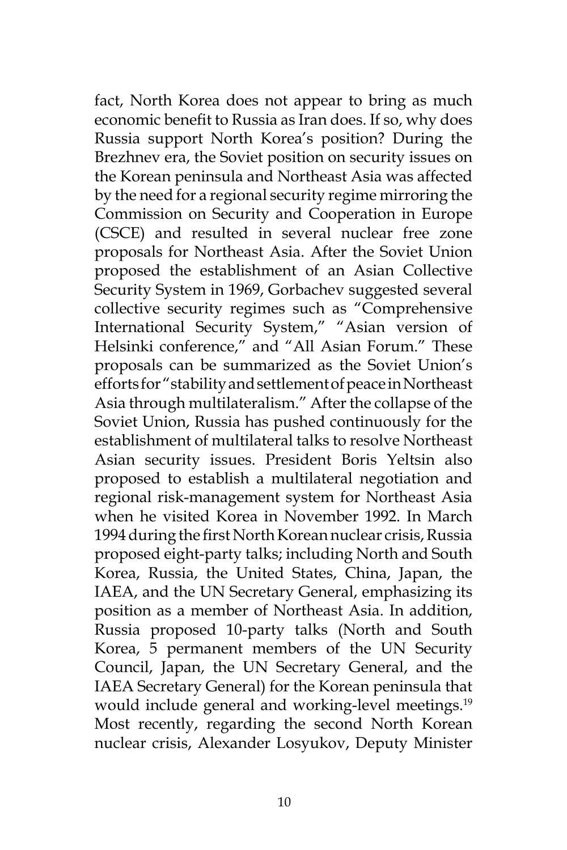fact, North Korea does not appear to bring as much economic benefit to Russia as Iran does. If so, why does Russia support North Korea's position? During the Brezhnev era, the Soviet position on security issues on the Korean peninsula and Northeast Asia was affected by the need for a regional security regime mirroring the Commission on Security and Cooperation in Europe (CSCE) and resulted in several nuclear free zone proposals for Northeast Asia. After the Soviet Union proposed the establishment of an Asian Collective Security System in 1969, Gorbachev suggested several collective security regimes such as "Comprehensive International Security System," "Asian version of Helsinki conference," and "All Asian Forum." These proposals can be summarized as the Soviet Union's efforts for "stability and settlement of peace in Northeast Asia through multilateralism." After the collapse of the Soviet Union, Russia has pushed continuously for the establishment of multilateral talks to resolve Northeast Asian security issues. President Boris Yeltsin also proposed to establish a multilateral negotiation and regional risk-management system for Northeast Asia when he visited Korea in November 1992. In March 1994 during the first North Korean nuclear crisis, Russia proposed eight-party talks; including North and South Korea, Russia, the United States, China, Japan, the IAEA, and the UN Secretary General, emphasizing its position as a member of Northeast Asia. In addition, Russia proposed 10-party talks (North and South Korea, 5 permanent members of the UN Security Council, Japan, the UN Secretary General, and the IAEA Secretary General) for the Korean peninsula that would include general and working-level meetings.<sup>19</sup> Most recently, regarding the second North Korean nuclear crisis, Alexander Losyukov, Deputy Minister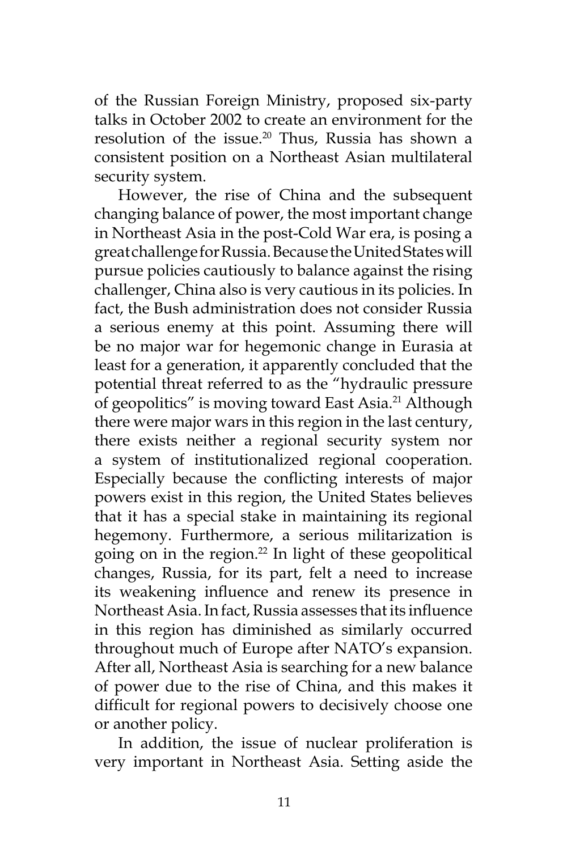of the Russian Foreign Ministry, proposed six-party talks in October 2002 to create an environment for the resolution of the issue.20 Thus, Russia has shown a consistent position on a Northeast Asian multilateral security system.

However, the rise of China and the subsequent changing balance of power, the most important change in Northeast Asia in the post-Cold War era, is posing a great challenge for Russia. Because the United States will pursue policies cautiously to balance against the rising challenger, China also is very cautious in its policies. In fact, the Bush administration does not consider Russia a serious enemy at this point. Assuming there will be no major war for hegemonic change in Eurasia at least for a generation, it apparently concluded that the potential threat referred to as the "hydraulic pressure of geopolitics" is moving toward East Asia.<sup>21</sup> Although there were major wars in this region in the last century, there exists neither a regional security system nor a system of institutionalized regional cooperation. Especially because the conflicting interests of major powers exist in this region, the United States believes that it has a special stake in maintaining its regional hegemony. Furthermore, a serious militarization is going on in the region. $^{22}$  In light of these geopolitical changes, Russia, for its part, felt a need to increase its weakening influence and renew its presence in Northeast Asia. In fact, Russia assesses that its influence in this region has diminished as similarly occurred throughout much of Europe after NATO's expansion. After all, Northeast Asia is searching for a new balance of power due to the rise of China, and this makes it difficult for regional powers to decisively choose one or another policy.

In addition, the issue of nuclear proliferation is very important in Northeast Asia. Setting aside the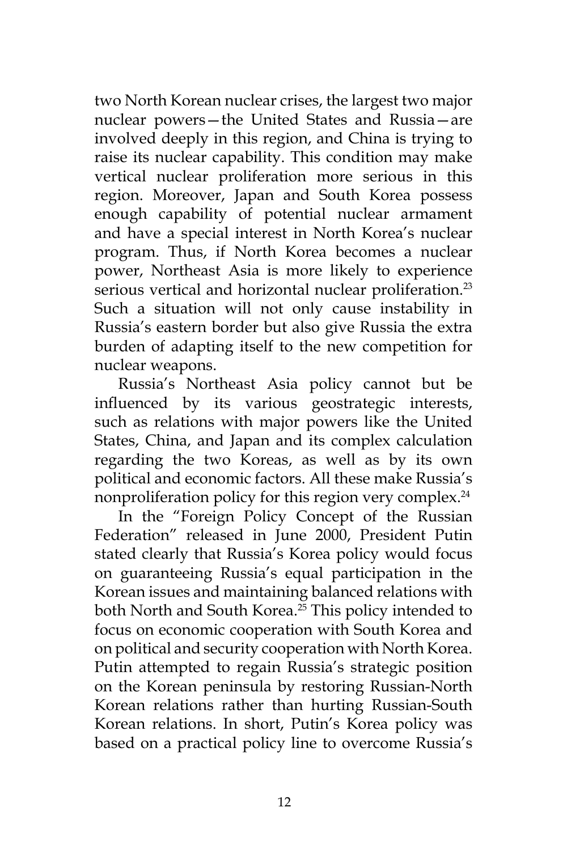two North Korean nuclear crises, the largest two major nuclear powers—the United States and Russia—are involved deeply in this region, and China is trying to raise its nuclear capability. This condition may make vertical nuclear proliferation more serious in this region. Moreover, Japan and South Korea possess enough capability of potential nuclear armament and have a special interest in North Korea's nuclear program. Thus, if North Korea becomes a nuclear power, Northeast Asia is more likely to experience serious vertical and horizontal nuclear proliferation.<sup>23</sup> Such a situation will not only cause instability in Russia's eastern border but also give Russia the extra burden of adapting itself to the new competition for nuclear weapons.

Russia's Northeast Asia policy cannot but be influenced by its various geostrategic interests, such as relations with major powers like the United States, China, and Japan and its complex calculation regarding the two Koreas, as well as by its own political and economic factors. All these make Russia's nonproliferation policy for this region very complex.<sup>24</sup>

In the "Foreign Policy Concept of the Russian Federation" released in June 2000, President Putin stated clearly that Russia's Korea policy would focus on guaranteeing Russia's equal participation in the Korean issues and maintaining balanced relations with both North and South Korea.<sup>25</sup> This policy intended to focus on economic cooperation with South Korea and on political and security cooperation with North Korea. Putin attempted to regain Russia's strategic position on the Korean peninsula by restoring Russian-North Korean relations rather than hurting Russian-South Korean relations. In short, Putin's Korea policy was based on a practical policy line to overcome Russia's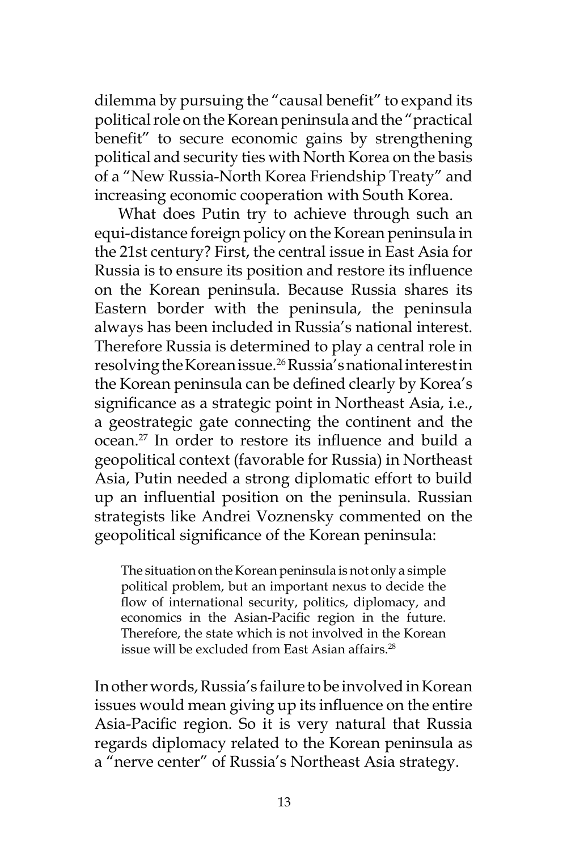dilemma by pursuing the "causal benefit" to expand its political role on the Korean peninsula and the "practical benefit" to secure economic gains by strengthening political and security ties with North Korea on the basis of a "New Russia-North Korea Friendship Treaty" and increasing economic cooperation with South Korea.

What does Putin try to achieve through such an equi-distance foreign policy on the Korean peninsula in the 21st century? First, the central issue in East Asia for Russia is to ensure its position and restore its influence on the Korean peninsula. Because Russia shares its Eastern border with the peninsula, the peninsula always has been included in Russia's national interest. Therefore Russia is determined to play a central role in resolving the Korean issue.<sup>26</sup> Russia's national interest in the Korean peninsula can be defined clearly by Korea's significance as a strategic point in Northeast Asia, i.e., a geostrategic gate connecting the continent and the ocean.27 In order to restore its influence and build a geopolitical context (favorable for Russia) in Northeast Asia, Putin needed a strong diplomatic effort to build up an influential position on the peninsula. Russian strategists like Andrei Voznensky commented on the geopolitical significance of the Korean peninsula:

The situation on the Korean peninsula is not only a simple political problem, but an important nexus to decide the flow of international security, politics, diplomacy, and economics in the Asian-Pacific region in the future. Therefore, the state which is not involved in the Korean issue will be excluded from East Asian affairs.<sup>28</sup>

In other words, Russia's failure to be involved in Korean issues would mean giving up its influence on the entire Asia-Pacific region. So it is very natural that Russia regards diplomacy related to the Korean peninsula as a "nerve center" of Russia's Northeast Asia strategy.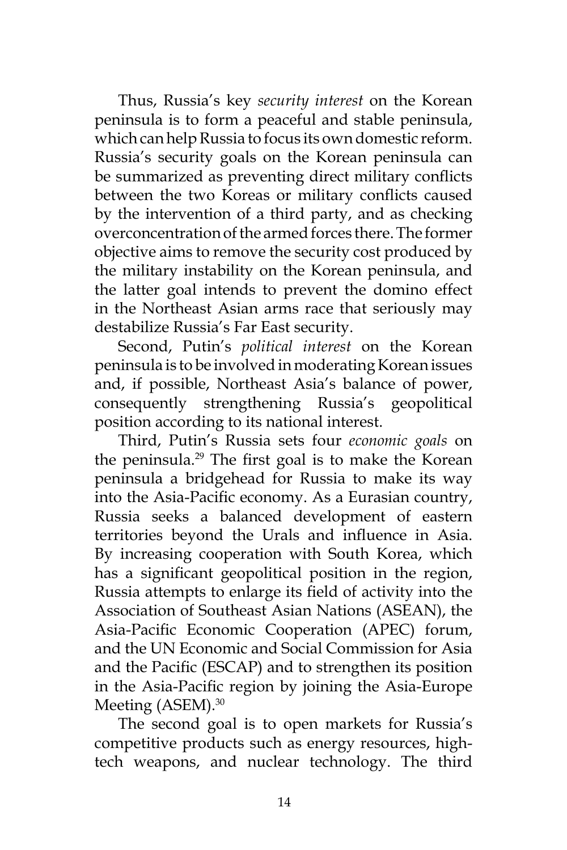Thus, Russia's key *security interest* on the Korean peninsula is to form a peaceful and stable peninsula, which can help Russia to focus its own domestic reform. Russia's security goals on the Korean peninsula can be summarized as preventing direct military conflicts between the two Koreas or military conflicts caused by the intervention of a third party, and as checking overconcentration of the armed forces there. The former objective aims to remove the security cost produced by the military instability on the Korean peninsula, and the latter goal intends to prevent the domino effect in the Northeast Asian arms race that seriously may destabilize Russia's Far East security.

Second, Putin's *political interest* on the Korean peninsula is to be involved in moderating Korean issues and, if possible, Northeast Asia's balance of power, consequently strengthening Russia's geopolitical position according to its national interest.

Third, Putin's Russia sets four *economic goals* on the peninsula.<sup>29</sup> The first goal is to make the Korean peninsula a bridgehead for Russia to make its way into the Asia-Pacific economy. As a Eurasian country, Russia seeks a balanced development of eastern territories beyond the Urals and influence in Asia. By increasing cooperation with South Korea, which has a significant geopolitical position in the region, Russia attempts to enlarge its field of activity into the Association of Southeast Asian Nations (ASEAN), the Asia-Pacific Economic Cooperation (APEC) forum, and the UN Economic and Social Commission for Asia and the Pacific (ESCAP) and to strengthen its position in the Asia-Pacific region by joining the Asia-Europe Meeting (ASEM).<sup>30</sup>

The second goal is to open markets for Russia's competitive products such as energy resources, hightech weapons, and nuclear technology. The third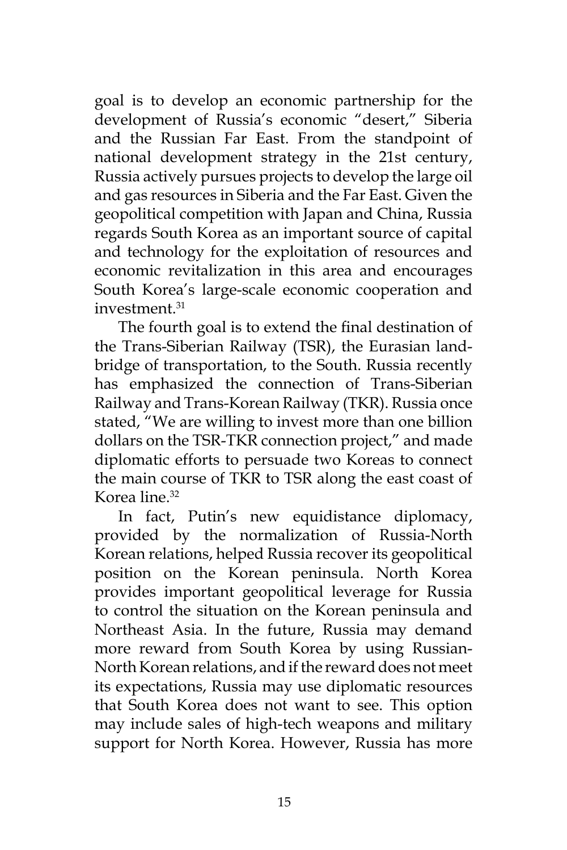goal is to develop an economic partnership for the development of Russia's economic "desert," Siberia and the Russian Far East. From the standpoint of national development strategy in the 21st century, Russia actively pursues projects to develop the large oil and gas resources in Siberia and the Far East. Given the geopolitical competition with Japan and China, Russia regards South Korea as an important source of capital and technology for the exploitation of resources and economic revitalization in this area and encourages South Korea's large-scale economic cooperation and investment.<sup>31</sup>

The fourth goal is to extend the final destination of the Trans-Siberian Railway (TSR), the Eurasian landbridge of transportation, to the South. Russia recently has emphasized the connection of Trans-Siberian Railway and Trans-Korean Railway (TKR). Russia once stated, "We are willing to invest more than one billion dollars on the TSR-TKR connection project," and made diplomatic efforts to persuade two Koreas to connect the main course of TKR to TSR along the east coast of Korea line.32

In fact, Putin's new equidistance diplomacy, provided by the normalization of Russia-North Korean relations, helped Russia recover its geopolitical position on the Korean peninsula. North Korea provides important geopolitical leverage for Russia to control the situation on the Korean peninsula and Northeast Asia. In the future, Russia may demand more reward from South Korea by using Russian-North Korean relations, and if the reward does not meet its expectations, Russia may use diplomatic resources that South Korea does not want to see. This option may include sales of high-tech weapons and military support for North Korea. However, Russia has more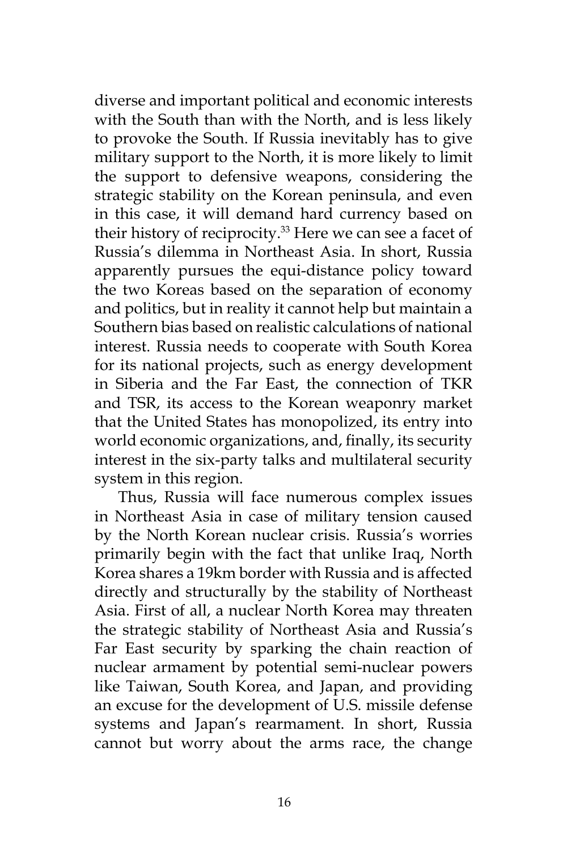diverse and important political and economic interests with the South than with the North, and is less likely to provoke the South. If Russia inevitably has to give military support to the North, it is more likely to limit the support to defensive weapons, considering the strategic stability on the Korean peninsula, and even in this case, it will demand hard currency based on their history of reciprocity.<sup>33</sup> Here we can see a facet of Russia's dilemma in Northeast Asia. In short, Russia apparently pursues the equi-distance policy toward the two Koreas based on the separation of economy and politics, but in reality it cannot help but maintain a Southern bias based on realistic calculations of national interest. Russia needs to cooperate with South Korea for its national projects, such as energy development in Siberia and the Far East, the connection of TKR and TSR, its access to the Korean weaponry market that the United States has monopolized, its entry into world economic organizations, and, finally, its security interest in the six-party talks and multilateral security system in this region.

Thus, Russia will face numerous complex issues in Northeast Asia in case of military tension caused by the North Korean nuclear crisis. Russia's worries primarily begin with the fact that unlike Iraq, North Korea shares a 19km border with Russia and is affected directly and structurally by the stability of Northeast Asia. First of all, a nuclear North Korea may threaten the strategic stability of Northeast Asia and Russia's Far East security by sparking the chain reaction of nuclear armament by potential semi-nuclear powers like Taiwan, South Korea, and Japan, and providing an excuse for the development of U.S. missile defense systems and Japan's rearmament. In short, Russia cannot but worry about the arms race, the change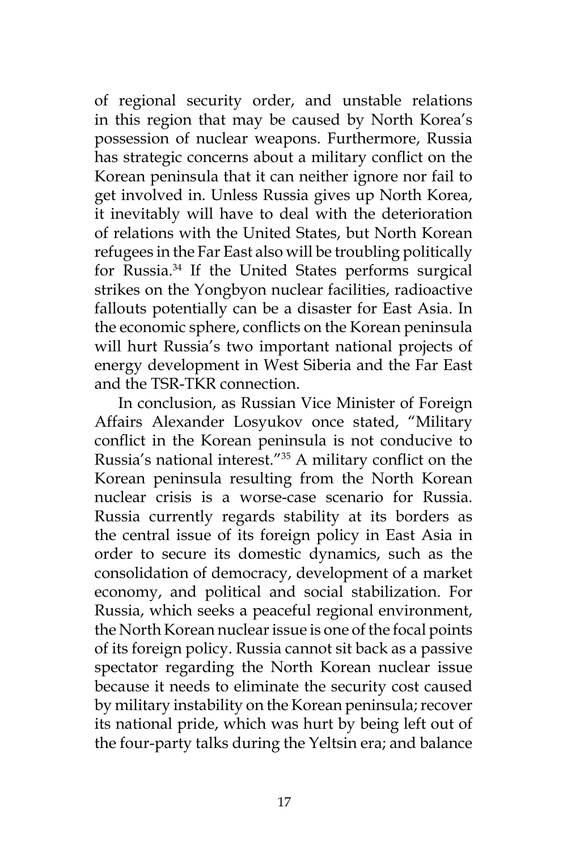of regional security order, and unstable relations in this region that may be caused by North Korea's possession of nuclear weapons. Furthermore, Russia has strategic concerns about a military conflict on the Korean peninsula that it can neither ignore nor fail to get involved in. Unless Russia gives up North Korea, it inevitably will have to deal with the deterioration of relations with the United States, but North Korean refugees in the Far East also will be troubling politically for Russia.34 If the United States performs surgical strikes on the Yongbyon nuclear facilities, radioactive fallouts potentially can be a disaster for East Asia. In the economic sphere, conflicts on the Korean peninsula will hurt Russia's two important national projects of energy development in West Siberia and the Far East and the TSR-TKR connection.

In conclusion, as Russian Vice Minister of Foreign Affairs Alexander Losyukov once stated, "Military conflict in the Korean peninsula is not conducive to Russia's national interest."35 A military conflict on the Korean peninsula resulting from the North Korean nuclear crisis is a worse-case scenario for Russia. Russia currently regards stability at its borders as the central issue of its foreign policy in East Asia in order to secure its domestic dynamics, such as the consolidation of democracy, development of a market economy, and political and social stabilization. For Russia, which seeks a peaceful regional environment, the North Korean nuclear issue is one of the focal points of its foreign policy. Russia cannot sit back as a passive spectator regarding the North Korean nuclear issue because it needs to eliminate the security cost caused by military instability on the Korean peninsula; recover its national pride, which was hurt by being left out of the four-party talks during the Yeltsin era; and balance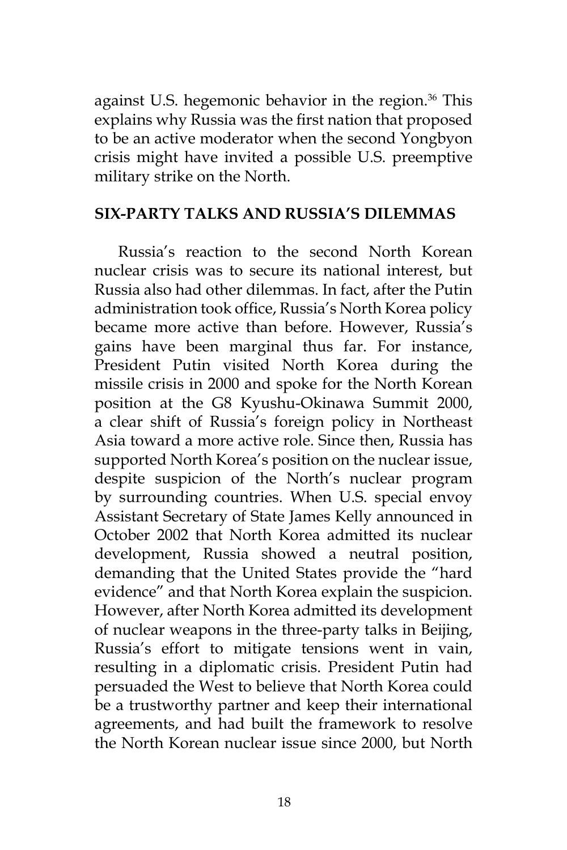against U.S. hegemonic behavior in the region.<sup>36</sup> This explains why Russia was the first nation that proposed to be an active moderator when the second Yongbyon crisis might have invited a possible U.S. preemptive military strike on the North.

#### **SIX-PARTY TALKS AND RUSSIA'S DILEMMAS**

Russia's reaction to the second North Korean nuclear crisis was to secure its national interest, but Russia also had other dilemmas. In fact, after the Putin administration took office, Russia's North Korea policy became more active than before. However, Russia's gains have been marginal thus far. For instance, President Putin visited North Korea during the missile crisis in 2000 and spoke for the North Korean position at the G8 Kyushu-Okinawa Summit 2000, a clear shift of Russia's foreign policy in Northeast Asia toward a more active role. Since then, Russia has supported North Korea's position on the nuclear issue, despite suspicion of the North's nuclear program by surrounding countries. When U.S. special envoy Assistant Secretary of State James Kelly announced in October 2002 that North Korea admitted its nuclear development, Russia showed a neutral position, demanding that the United States provide the "hard evidence" and that North Korea explain the suspicion. However, after North Korea admitted its development of nuclear weapons in the three-party talks in Beijing, Russia's effort to mitigate tensions went in vain, resulting in a diplomatic crisis. President Putin had persuaded the West to believe that North Korea could be a trustworthy partner and keep their international agreements, and had built the framework to resolve the North Korean nuclear issue since 2000, but North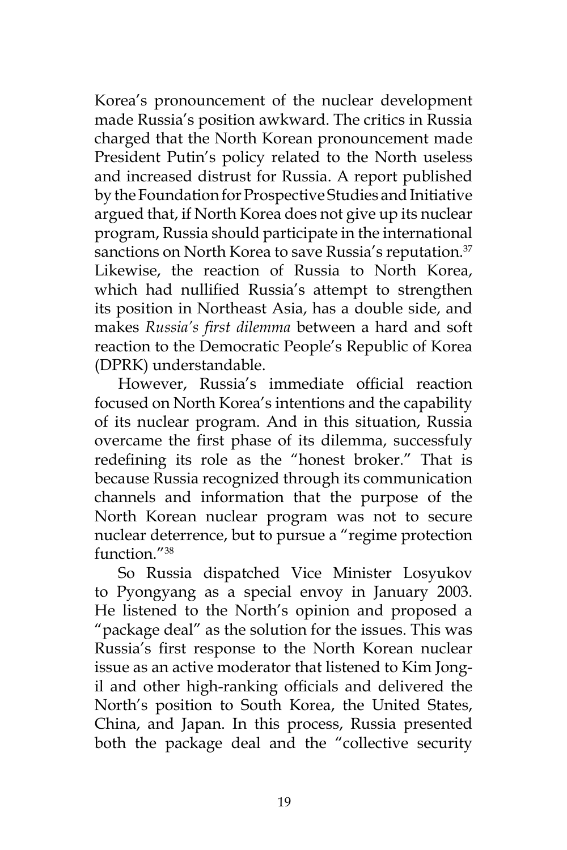Korea's pronouncement of the nuclear development made Russia's position awkward. The critics in Russia charged that the North Korean pronouncement made President Putin's policy related to the North useless and increased distrust for Russia. A report published by the Foundation for Prospective Studies and Initiative argued that, if North Korea does not give up its nuclear program, Russia should participate in the international sanctions on North Korea to save Russia's reputation.<sup>37</sup> Likewise, the reaction of Russia to North Korea, which had nullified Russia's attempt to strengthen its position in Northeast Asia, has a double side, and makes *Russia's first dilemma* between a hard and soft reaction to the Democratic People's Republic of Korea (DPRK) understandable.

However, Russia's immediate official reaction focused on North Korea's intentions and the capability of its nuclear program. And in this situation, Russia overcame the first phase of its dilemma, successfuly redefining its role as the "honest broker." That is because Russia recognized through its communication channels and information that the purpose of the North Korean nuclear program was not to secure nuclear deterrence, but to pursue a "regime protection function<sup>"38</sup>

So Russia dispatched Vice Minister Losyukov to Pyongyang as a special envoy in January 2003. He listened to the North's opinion and proposed a "package deal" as the solution for the issues. This was Russia's first response to the North Korean nuclear issue as an active moderator that listened to Kim Jongil and other high-ranking officials and delivered the North's position to South Korea, the United States, China, and Japan. In this process, Russia presented both the package deal and the "collective security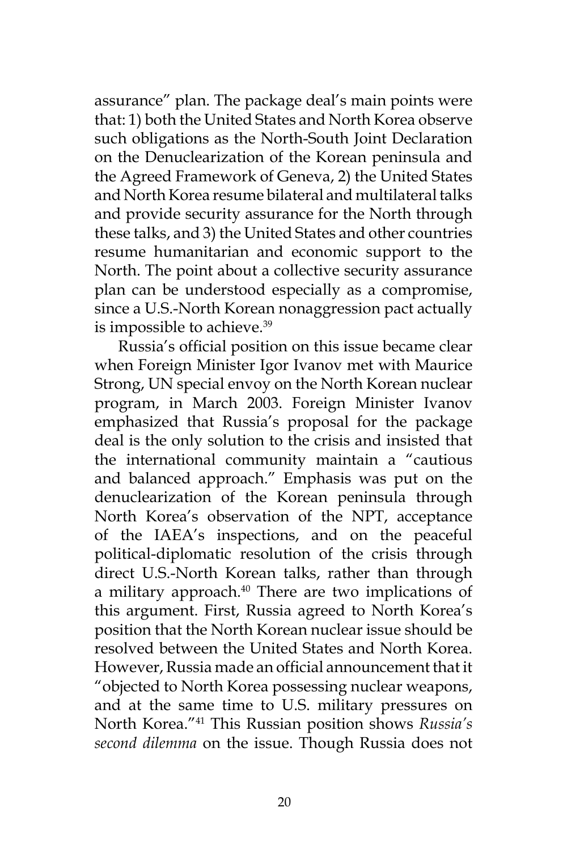assurance" plan. The package deal's main points were that: 1) both the United States and North Korea observe such obligations as the North-South Joint Declaration on the Denuclearization of the Korean peninsula and the Agreed Framework of Geneva, 2) the United States and North Korea resume bilateral and multilateral talks and provide security assurance for the North through these talks, and 3) the United States and other countries resume humanitarian and economic support to the North. The point about a collective security assurance plan can be understood especially as a compromise, since a U.S.-North Korean nonaggression pact actually is impossible to achieve.<sup>39</sup>

Russia's official position on this issue became clear when Foreign Minister Igor Ivanov met with Maurice Strong, UN special envoy on the North Korean nuclear program, in March 2003. Foreign Minister Ivanov emphasized that Russia's proposal for the package deal is the only solution to the crisis and insisted that the international community maintain a "cautious and balanced approach." Emphasis was put on the denuclearization of the Korean peninsula through North Korea's observation of the NPT, acceptance of the IAEA's inspections, and on the peaceful political-diplomatic resolution of the crisis through direct U.S.-North Korean talks, rather than through a military approach.<sup>40</sup> There are two implications of this argument. First, Russia agreed to North Korea's position that the North Korean nuclear issue should be resolved between the United States and North Korea. However, Russia made an official announcement that it "objected to North Korea possessing nuclear weapons, and at the same time to U.S. military pressures on North Korea."41 This Russian position shows *Russia's second dilemma* on the issue. Though Russia does not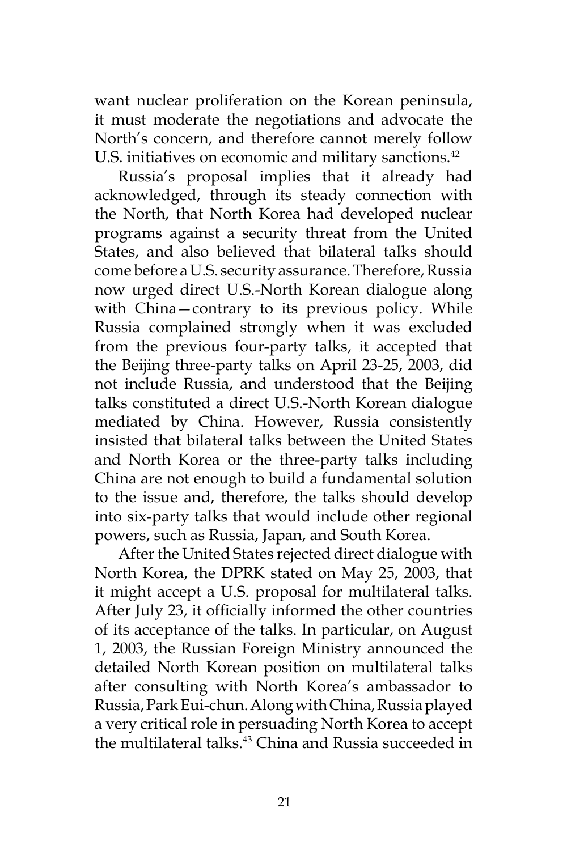want nuclear proliferation on the Korean peninsula, it must moderate the negotiations and advocate the North's concern, and therefore cannot merely follow U.S. initiatives on economic and military sanctions.<sup>42</sup>

Russia's proposal implies that it already had acknowledged, through its steady connection with the North, that North Korea had developed nuclear programs against a security threat from the United States, and also believed that bilateral talks should come before a U.S. security assurance. Therefore, Russia now urged direct U.S.-North Korean dialogue along with China—contrary to its previous policy. While Russia complained strongly when it was excluded from the previous four-party talks, it accepted that the Beijing three-party talks on April 23-25, 2003, did not include Russia, and understood that the Beijing talks constituted a direct U.S.-North Korean dialogue mediated by China. However, Russia consistently insisted that bilateral talks between the United States and North Korea or the three-party talks including China are not enough to build a fundamental solution to the issue and, therefore, the talks should develop into six-party talks that would include other regional powers, such as Russia, Japan, and South Korea.

After the United States rejected direct dialogue with North Korea, the DPRK stated on May 25, 2003, that it might accept a U.S. proposal for multilateral talks. After July 23, it officially informed the other countries of its acceptance of the talks. In particular, on August 1, 2003, the Russian Foreign Ministry announced the detailed North Korean position on multilateral talks after consulting with North Korea's ambassador to Russia, Park Eui-chun. Along with China, Russia played a very critical role in persuading North Korea to accept the multilateral talks. $43$  China and Russia succeeded in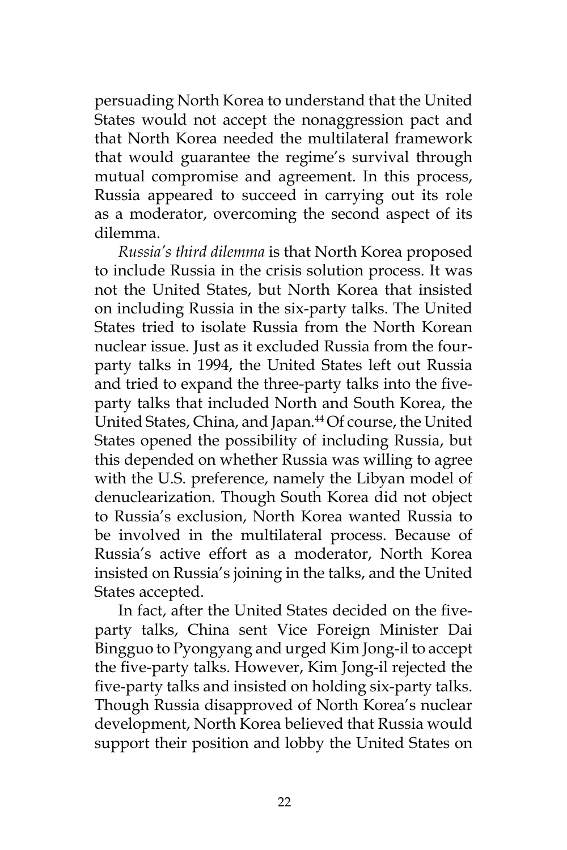persuading North Korea to understand that the United States would not accept the nonaggression pact and that North Korea needed the multilateral framework that would guarantee the regime's survival through mutual compromise and agreement. In this process, Russia appeared to succeed in carrying out its role as a moderator, overcoming the second aspect of its dilemma.

*Russia's third dilemma* is that North Korea proposed to include Russia in the crisis solution process. It was not the United States, but North Korea that insisted on including Russia in the six-party talks. The United States tried to isolate Russia from the North Korean nuclear issue. Just as it excluded Russia from the fourparty talks in 1994, the United States left out Russia and tried to expand the three-party talks into the fiveparty talks that included North and South Korea, the United States, China, and Japan.<sup>44</sup> Of course, the United States opened the possibility of including Russia, but this depended on whether Russia was willing to agree with the U.S. preference, namely the Libyan model of denuclearization. Though South Korea did not object to Russia's exclusion, North Korea wanted Russia to be involved in the multilateral process. Because of Russia's active effort as a moderator, North Korea insisted on Russia's joining in the talks, and the United States accepted.

In fact, after the United States decided on the fiveparty talks, China sent Vice Foreign Minister Dai Bingguo to Pyongyang and urged Kim Jong-il to accept the five-party talks. However, Kim Jong-il rejected the five-party talks and insisted on holding six-party talks. Though Russia disapproved of North Korea's nuclear development, North Korea believed that Russia would support their position and lobby the United States on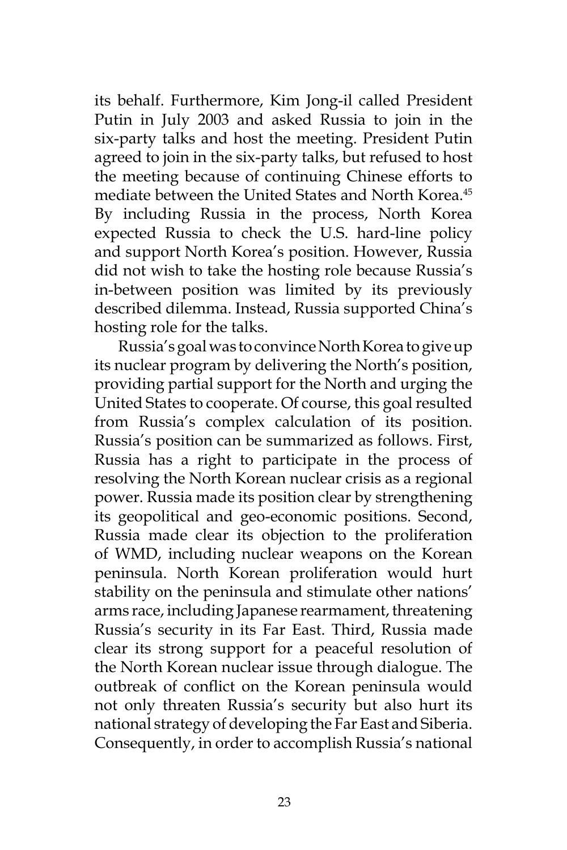its behalf. Furthermore, Kim Jong-il called President Putin in July 2003 and asked Russia to join in the six-party talks and host the meeting. President Putin agreed to join in the six-party talks, but refused to host the meeting because of continuing Chinese efforts to mediate between the United States and North Korea.<sup>45</sup> By including Russia in the process, North Korea expected Russia to check the U.S. hard-line policy and support North Korea's position. However, Russia did not wish to take the hosting role because Russia's in-between position was limited by its previously described dilemma. Instead, Russia supported China's hosting role for the talks.

Russia's goal was to convince North Korea to give up its nuclear program by delivering the North's position, providing partial support for the North and urging the United States to cooperate. Of course, this goal resulted from Russia's complex calculation of its position. Russia's position can be summarized as follows. First, Russia has a right to participate in the process of resolving the North Korean nuclear crisis as a regional power. Russia made its position clear by strengthening its geopolitical and geo-economic positions. Second, Russia made clear its objection to the proliferation of WMD, including nuclear weapons on the Korean peninsula. North Korean proliferation would hurt stability on the peninsula and stimulate other nations' arms race, including Japanese rearmament, threatening Russia's security in its Far East. Third, Russia made clear its strong support for a peaceful resolution of the North Korean nuclear issue through dialogue. The outbreak of conflict on the Korean peninsula would not only threaten Russia's security but also hurt its national strategy of developing the Far East and Siberia. Consequently, in order to accomplish Russia's national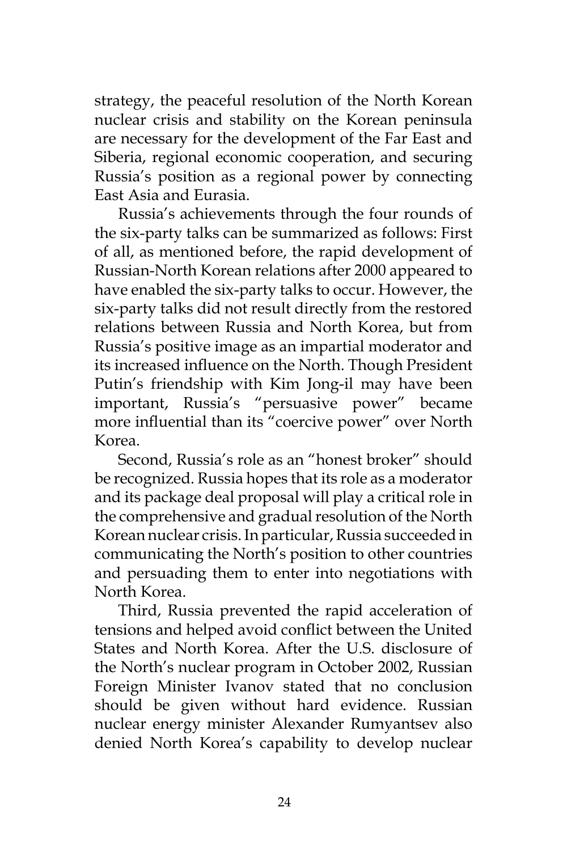strategy, the peaceful resolution of the North Korean nuclear crisis and stability on the Korean peninsula are necessary for the development of the Far East and Siberia, regional economic cooperation, and securing Russia's position as a regional power by connecting East Asia and Eurasia.

Russia's achievements through the four rounds of the six-party talks can be summarized as follows: First of all, as mentioned before, the rapid development of Russian-North Korean relations after 2000 appeared to have enabled the six-party talks to occur. However, the six-party talks did not result directly from the restored relations between Russia and North Korea, but from Russia's positive image as an impartial moderator and its increased influence on the North. Though President Putin's friendship with Kim Jong-il may have been important, Russia's "persuasive power" became more influential than its "coercive power" over North Korea.

Second, Russia's role as an "honest broker" should be recognized. Russia hopes that its role as a moderator and its package deal proposal will play a critical role in the comprehensive and gradual resolution of the North Korean nuclear crisis. In particular, Russia succeeded in communicating the North's position to other countries and persuading them to enter into negotiations with North Korea.

Third, Russia prevented the rapid acceleration of tensions and helped avoid conflict between the United States and North Korea. After the U.S. disclosure of the North's nuclear program in October 2002, Russian Foreign Minister Ivanov stated that no conclusion should be given without hard evidence. Russian nuclear energy minister Alexander Rumyantsev also denied North Korea's capability to develop nuclear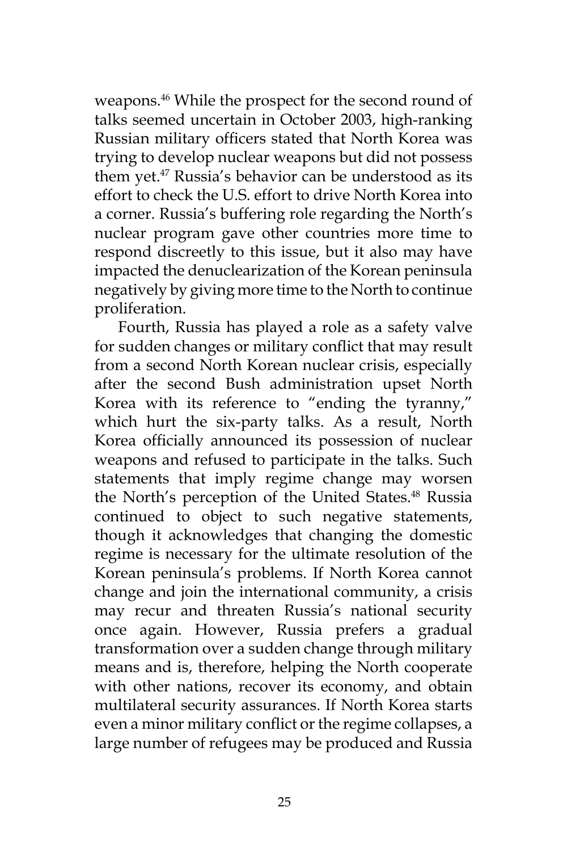weapons.46 While the prospect for the second round of talks seemed uncertain in October 2003, high-ranking Russian military officers stated that North Korea was trying to develop nuclear weapons but did not possess them yet.47 Russia's behavior can be understood as its effort to check the U.S. effort to drive North Korea into a corner. Russia's buffering role regarding the North's nuclear program gave other countries more time to respond discreetly to this issue, but it also may have impacted the denuclearization of the Korean peninsula negatively by giving more time to the North to continue proliferation.

Fourth, Russia has played a role as a safety valve for sudden changes or military conflict that may result from a second North Korean nuclear crisis, especially after the second Bush administration upset North Korea with its reference to "ending the tyranny," which hurt the six-party talks. As a result, North Korea officially announced its possession of nuclear weapons and refused to participate in the talks. Such statements that imply regime change may worsen the North's perception of the United States.<sup>48</sup> Russia continued to object to such negative statements, though it acknowledges that changing the domestic regime is necessary for the ultimate resolution of the Korean peninsula's problems. If North Korea cannot change and join the international community, a crisis may recur and threaten Russia's national security once again. However, Russia prefers a gradual transformation over a sudden change through military means and is, therefore, helping the North cooperate with other nations, recover its economy, and obtain multilateral security assurances. If North Korea starts even a minor military conflict or the regime collapses, a large number of refugees may be produced and Russia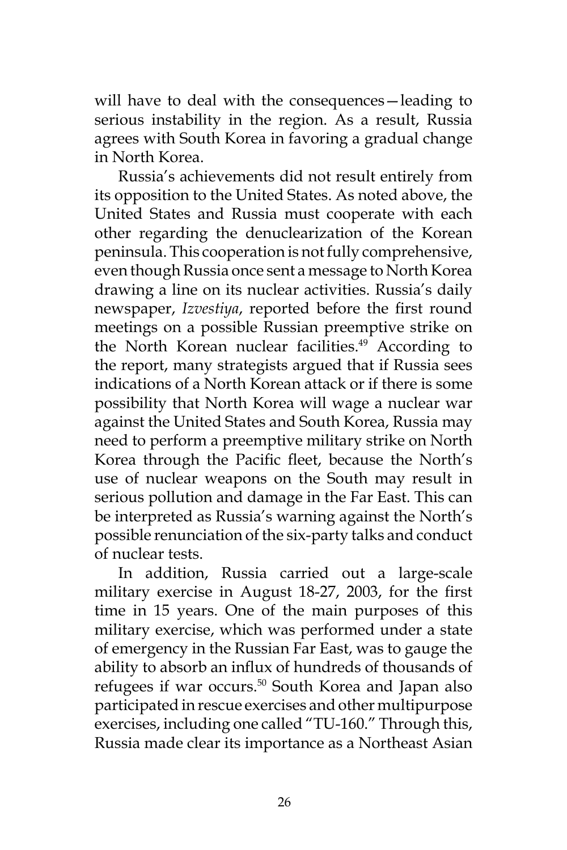will have to deal with the consequences—leading to serious instability in the region. As a result, Russia agrees with South Korea in favoring a gradual change in North Korea.

Russia's achievements did not result entirely from its opposition to the United States. As noted above, the United States and Russia must cooperate with each other regarding the denuclearization of the Korean peninsula. This cooperation is not fully comprehensive, even though Russia once sent a message to North Korea drawing a line on its nuclear activities. Russia's daily newspaper, *Izvestiya*, reported before the first round meetings on a possible Russian preemptive strike on the North Korean nuclear facilities.<sup>49</sup> According to the report, many strategists argued that if Russia sees indications of a North Korean attack or if there is some possibility that North Korea will wage a nuclear war against the United States and South Korea, Russia may need to perform a preemptive military strike on North Korea through the Pacific fleet, because the North's use of nuclear weapons on the South may result in serious pollution and damage in the Far East. This can be interpreted as Russia's warning against the North's possible renunciation of the six-party talks and conduct of nuclear tests.

In addition, Russia carried out a large-scale military exercise in August 18-27, 2003, for the first time in 15 years. One of the main purposes of this military exercise, which was performed under a state of emergency in the Russian Far East, was to gauge the ability to absorb an influx of hundreds of thousands of refugees if war occurs.<sup>50</sup> South Korea and Japan also participated in rescue exercises and other multipurpose exercises, including one called "TU-160." Through this, Russia made clear its importance as a Northeast Asian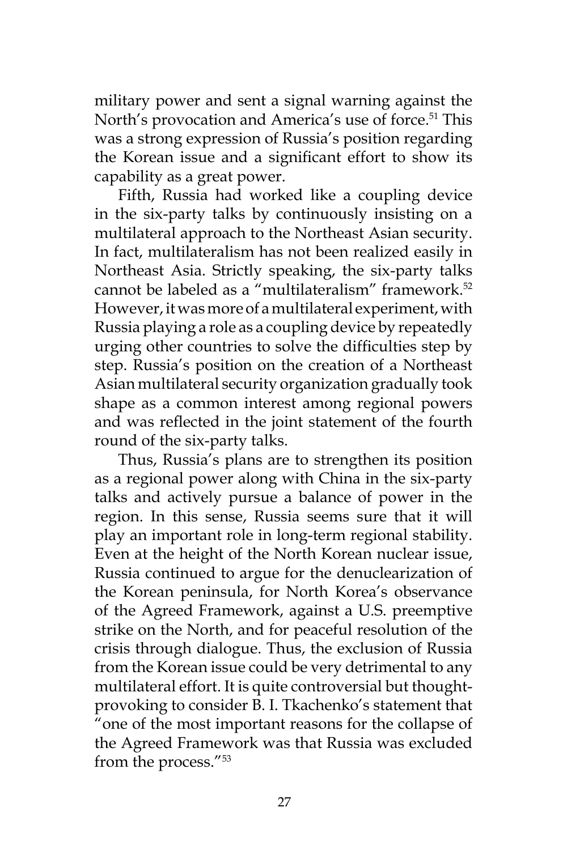military power and sent a signal warning against the North's provocation and America's use of force.<sup>51</sup> This was a strong expression of Russia's position regarding the Korean issue and a significant effort to show its capability as a great power.

Fifth, Russia had worked like a coupling device in the six-party talks by continuously insisting on a multilateral approach to the Northeast Asian security. In fact, multilateralism has not been realized easily in Northeast Asia. Strictly speaking, the six-party talks cannot be labeled as a "multilateralism" framework.<sup>52</sup> However, it was more of a multilateral experiment, with Russia playing a role as a coupling device by repeatedly urging other countries to solve the difficulties step by step. Russia's position on the creation of a Northeast Asian multilateral security organization gradually took shape as a common interest among regional powers and was reflected in the joint statement of the fourth round of the six-party talks.

Thus, Russia's plans are to strengthen its position as a regional power along with China in the six-party talks and actively pursue a balance of power in the region. In this sense, Russia seems sure that it will play an important role in long-term regional stability. Even at the height of the North Korean nuclear issue, Russia continued to argue for the denuclearization of the Korean peninsula, for North Korea's observance of the Agreed Framework, against a U.S. preemptive strike on the North, and for peaceful resolution of the crisis through dialogue. Thus, the exclusion of Russia from the Korean issue could be very detrimental to any multilateral effort. It is quite controversial but thoughtprovoking to consider B. I. Tkachenko's statement that "one of the most important reasons for the collapse of the Agreed Framework was that Russia was excluded from the process."53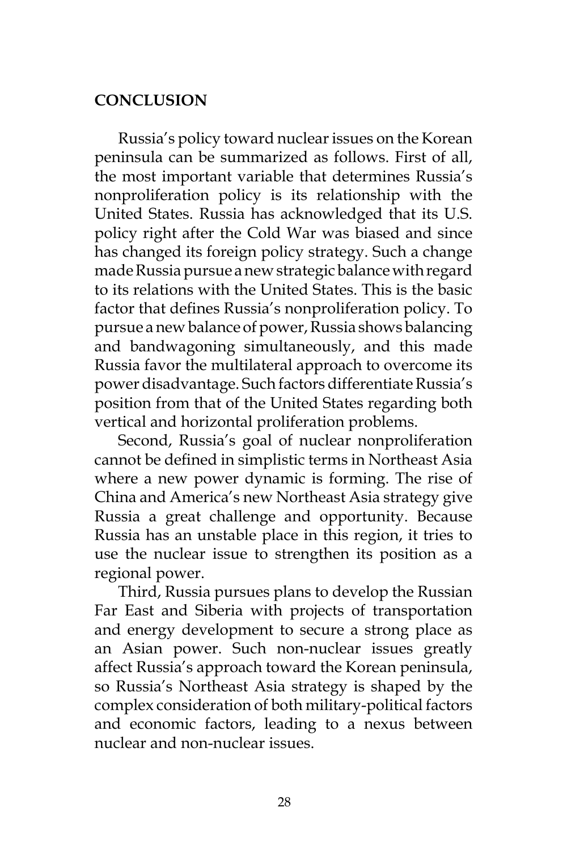## **CONCLUSION**

Russia's policy toward nuclear issues on the Korean peninsula can be summarized as follows. First of all, the most important variable that determines Russia's nonproliferation policy is its relationship with the United States. Russia has acknowledged that its U.S. policy right after the Cold War was biased and since has changed its foreign policy strategy. Such a change made Russia pursue a new strategic balance with regard to its relations with the United States. This is the basic factor that defines Russia's nonproliferation policy. To pursue a new balance of power, Russia shows balancing and bandwagoning simultaneously, and this made Russia favor the multilateral approach to overcome its power disadvantage. Such factors differentiate Russia's position from that of the United States regarding both vertical and horizontal proliferation problems.

Second, Russia's goal of nuclear nonproliferation cannot be defined in simplistic terms in Northeast Asia where a new power dynamic is forming. The rise of China and America's new Northeast Asia strategy give Russia a great challenge and opportunity. Because Russia has an unstable place in this region, it tries to use the nuclear issue to strengthen its position as a regional power.

Third, Russia pursues plans to develop the Russian Far East and Siberia with projects of transportation and energy development to secure a strong place as an Asian power. Such non-nuclear issues greatly affect Russia's approach toward the Korean peninsula, so Russia's Northeast Asia strategy is shaped by the complex consideration of both military-political factors and economic factors, leading to a nexus between nuclear and non-nuclear issues.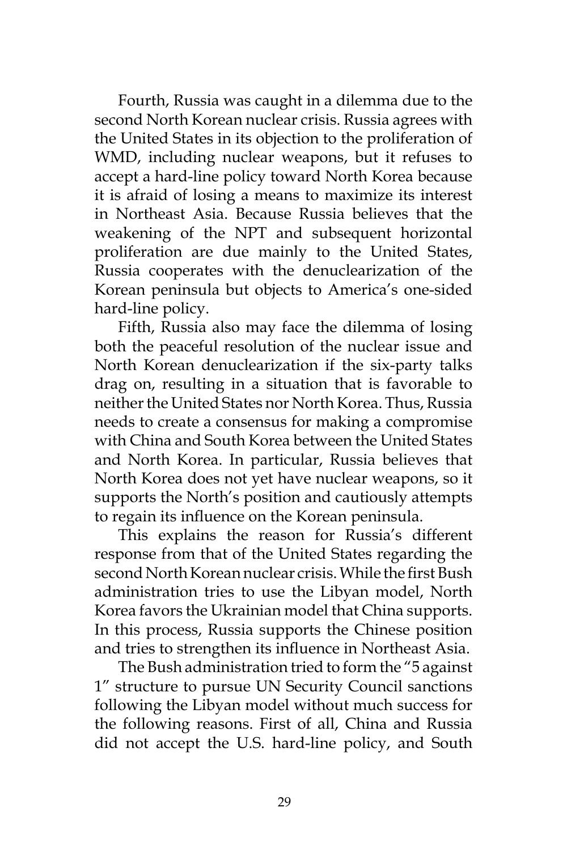Fourth, Russia was caught in a dilemma due to the second North Korean nuclear crisis. Russia agrees with the United States in its objection to the proliferation of WMD, including nuclear weapons, but it refuses to accept a hard-line policy toward North Korea because it is afraid of losing a means to maximize its interest in Northeast Asia. Because Russia believes that the weakening of the NPT and subsequent horizontal proliferation are due mainly to the United States, Russia cooperates with the denuclearization of the Korean peninsula but objects to America's one-sided hard-line policy.

Fifth, Russia also may face the dilemma of losing both the peaceful resolution of the nuclear issue and North Korean denuclearization if the six-party talks drag on, resulting in a situation that is favorable to neither the United States nor North Korea. Thus, Russia needs to create a consensus for making a compromise with China and South Korea between the United States and North Korea. In particular, Russia believes that North Korea does not yet have nuclear weapons, so it supports the North's position and cautiously attempts to regain its influence on the Korean peninsula.

This explains the reason for Russia's different response from that of the United States regarding the second North Korean nuclear crisis. While the first Bush administration tries to use the Libyan model, North Korea favors the Ukrainian model that China supports. In this process, Russia supports the Chinese position and tries to strengthen its influence in Northeast Asia.

The Bush administration tried to form the "5 against 1" structure to pursue UN Security Council sanctions following the Libyan model without much success for the following reasons. First of all, China and Russia did not accept the U.S. hard-line policy, and South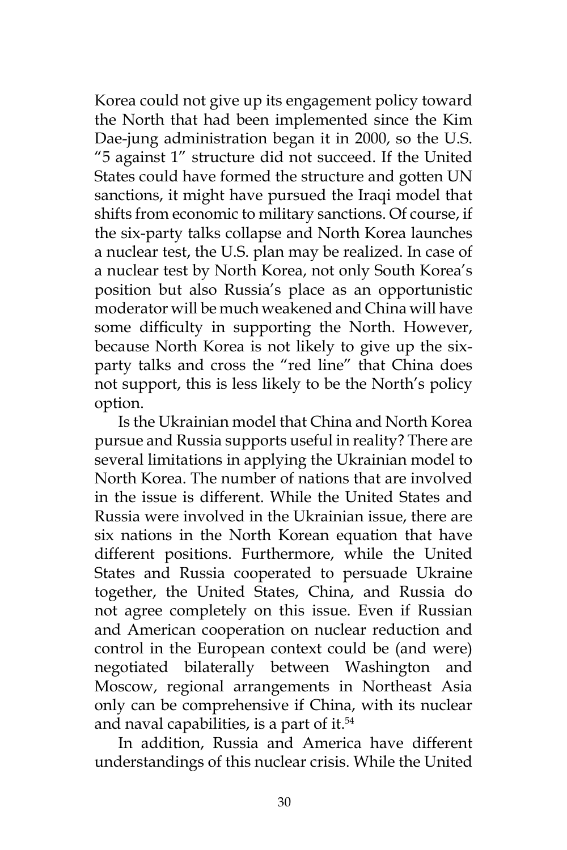Korea could not give up its engagement policy toward the North that had been implemented since the Kim Dae-jung administration began it in 2000, so the U.S. "5 against 1" structure did not succeed. If the United States could have formed the structure and gotten UN sanctions, it might have pursued the Iraqi model that shifts from economic to military sanctions. Of course, if the six-party talks collapse and North Korea launches a nuclear test, the U.S. plan may be realized. In case of a nuclear test by North Korea, not only South Korea's position but also Russia's place as an opportunistic moderator will be much weakened and China will have some difficulty in supporting the North. However, because North Korea is not likely to give up the sixparty talks and cross the "red line" that China does not support, this is less likely to be the North's policy option.

Is the Ukrainian model that China and North Korea pursue and Russia supports useful in reality? There are several limitations in applying the Ukrainian model to North Korea. The number of nations that are involved in the issue is different. While the United States and Russia were involved in the Ukrainian issue, there are six nations in the North Korean equation that have different positions. Furthermore, while the United States and Russia cooperated to persuade Ukraine together, the United States, China, and Russia do not agree completely on this issue. Even if Russian and American cooperation on nuclear reduction and control in the European context could be (and were) negotiated bilaterally between Washington and Moscow, regional arrangements in Northeast Asia only can be comprehensive if China, with its nuclear and naval capabilities, is a part of it.<sup>54</sup>

In addition, Russia and America have different understandings of this nuclear crisis. While the United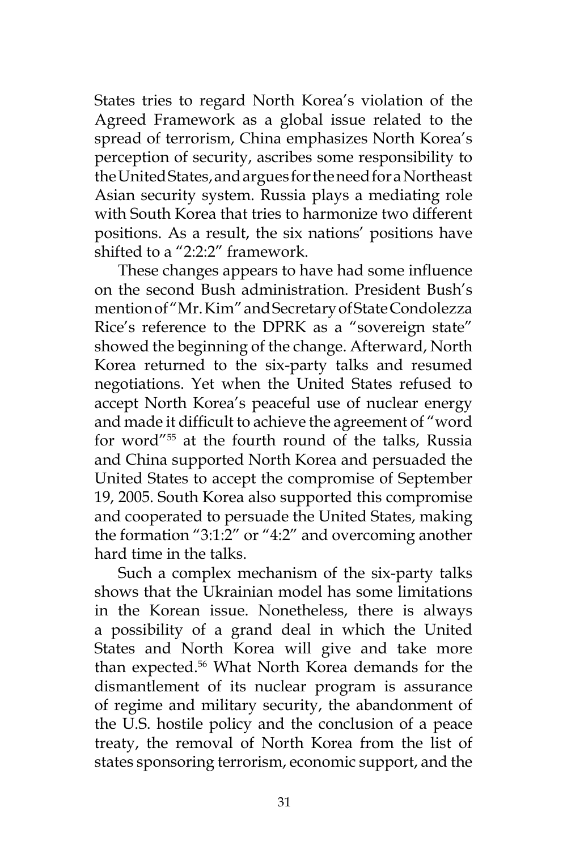States tries to regard North Korea's violation of the Agreed Framework as a global issue related to the spread of terrorism, China emphasizes North Korea's perception of security, ascribes some responsibility to the United States, and argues for the need for a Northeast Asian security system. Russia plays a mediating role with South Korea that tries to harmonize two different positions. As a result, the six nations' positions have shifted to a "2:2:2" framework.

These changes appears to have had some influence on the second Bush administration. President Bush's mention of "Mr. Kim" and Secretary of State Condolezza Rice's reference to the DPRK as a "sovereign state" showed the beginning of the change. Afterward, North Korea returned to the six-party talks and resumed negotiations. Yet when the United States refused to accept North Korea's peaceful use of nuclear energy and made it difficult to achieve the agreement of "word for word"55 at the fourth round of the talks, Russia and China supported North Korea and persuaded the United States to accept the compromise of September 19, 2005. South Korea also supported this compromise and cooperated to persuade the United States, making the formation "3:1:2" or "4:2" and overcoming another hard time in the talks.

Such a complex mechanism of the six-party talks shows that the Ukrainian model has some limitations in the Korean issue. Nonetheless, there is always a possibility of a grand deal in which the United States and North Korea will give and take more than expected.56 What North Korea demands for the dismantlement of its nuclear program is assurance of regime and military security, the abandonment of the U.S. hostile policy and the conclusion of a peace treaty, the removal of North Korea from the list of states sponsoring terrorism, economic support, and the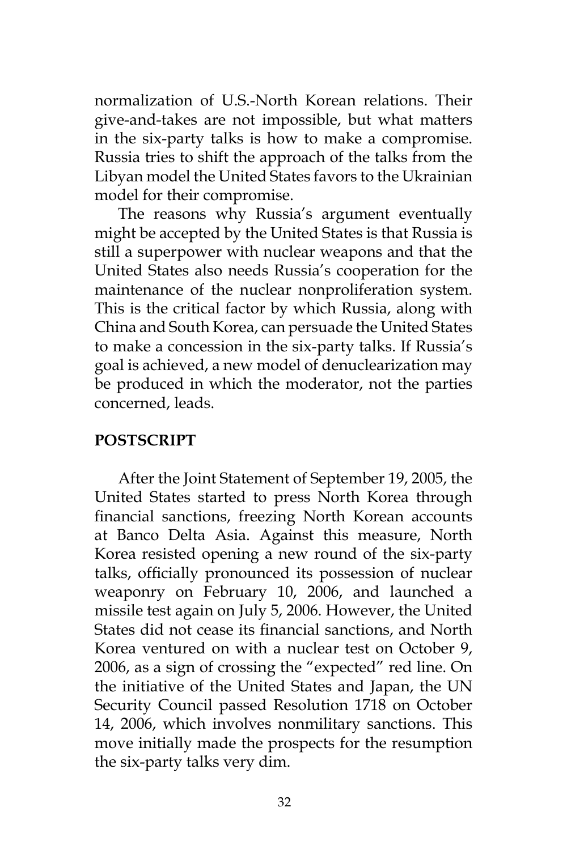normalization of U.S.-North Korean relations. Their give-and-takes are not impossible, but what matters in the six-party talks is how to make a compromise. Russia tries to shift the approach of the talks from the Libyan model the United States favors to the Ukrainian model for their compromise.

The reasons why Russia's argument eventually might be accepted by the United States is that Russia is still a superpower with nuclear weapons and that the United States also needs Russia's cooperation for the maintenance of the nuclear nonproliferation system. This is the critical factor by which Russia, along with China and South Korea, can persuade the United States to make a concession in the six-party talks. If Russia's goal is achieved, a new model of denuclearization may be produced in which the moderator, not the parties concerned, leads.

### **POSTSCRIPT**

After the Joint Statement of September 19, 2005, the United States started to press North Korea through financial sanctions, freezing North Korean accounts at Banco Delta Asia. Against this measure, North Korea resisted opening a new round of the six-party talks, officially pronounced its possession of nuclear weaponry on February 10, 2006, and launched a missile test again on July 5, 2006. However, the United States did not cease its financial sanctions, and North Korea ventured on with a nuclear test on October 9, 2006, as a sign of crossing the "expected" red line. On the initiative of the United States and Japan, the UN Security Council passed Resolution 1718 on October 14, 2006, which involves nonmilitary sanctions. This move initially made the prospects for the resumption the six-party talks very dim.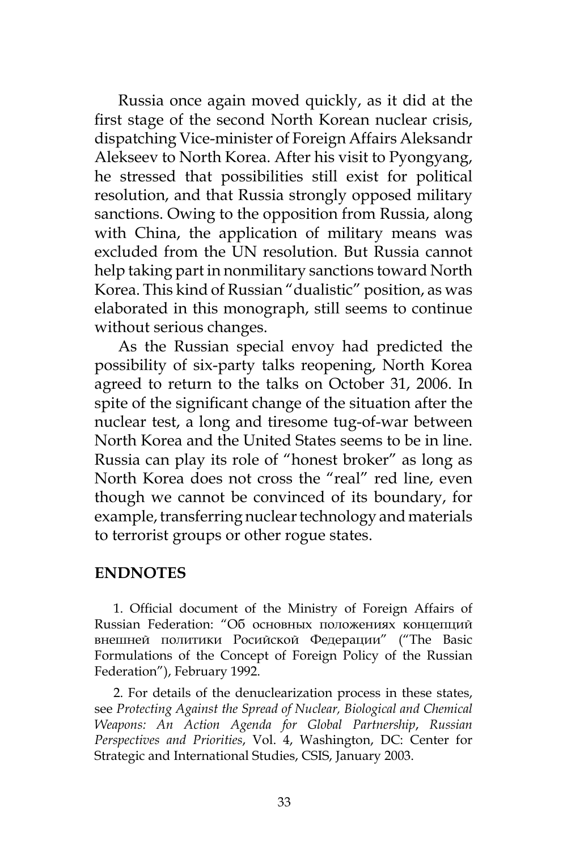Russia once again moved quickly, as it did at the first stage of the second North Korean nuclear crisis, dispatching Vice-minister of Foreign Affairs Aleksandr Alekseev to North Korea. After his visit to Pyongyang, he stressed that possibilities still exist for political resolution, and that Russia strongly opposed military sanctions. Owing to the opposition from Russia, along with China, the application of military means was excluded from the UN resolution. But Russia cannot help taking part in nonmilitary sanctions toward North Korea. This kind of Russian "dualistic" position, as was elaborated in this monograph, still seems to continue without serious changes.

As the Russian special envoy had predicted the possibility of six-party talks reopening, North Korea agreed to return to the talks on October 31, 2006. In spite of the significant change of the situation after the nuclear test, a long and tiresome tug-of-war between North Korea and the United States seems to be in line. Russia can play its role of "honest broker" as long as North Korea does not cross the "real" red line, even though we cannot be convinced of its boundary, for example, transferring nuclear technology and materials to terrorist groups or other rogue states.

#### **ENDNOTES**

1. Official document of the Ministry of Foreign Affairs of Russian Federation: "Об основных положениях концепций внешней политики Росийской Федерации" ("The Basic Formulations of the Concept of Foreign Policy of the Russian Federation"), February 1992.

2. For details of the denuclearization process in these states, see *Protecting Against the Spread of Nuclear, Biological and Chemical Weapons: An Action Agenda for Global Partnership*, *Russian Perspectives and Priorities*, Vol. 4, Washington, DC: Center for Strategic and International Studies, CSIS, January 2003.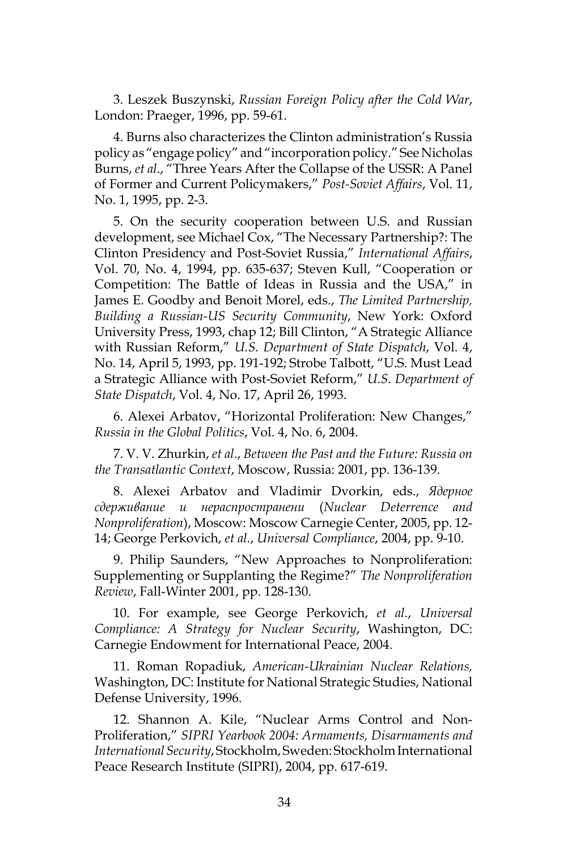3. Leszek Buszynski, *Russian Foreign Policy after the Cold War*, London: Praeger, 1996, pp. 59-61.

4. Burns also characterizes the Clinton administration's Russia policy as "engage policy" and "incorporation policy." See Nicholas Burns, *et al*., "Three Years After the Collapse of the USSR: A Panel of Former and Current Policymakers," *Post-Soviet Affairs*, Vol. 11, No. 1, 1995, pp. 2-3.

5. On the security cooperation between U.S. and Russian development, see Michael Cox, "The Necessary Partnership?: The Clinton Presidency and Post-Soviet Russia," *International Affairs*, Vol. 70, No. 4, 1994, pp. 635-637; Steven Kull, "Cooperation or Competition: The Battle of Ideas in Russia and the USA," in James E. Goodby and Benoit Morel, eds., *The Limited Partnership, Building a Russian-US Security Community*, New York: Oxford University Press, 1993, chap 12; Bill Clinton, "A Strategic Alliance with Russian Reform," *U.S. Department of State Dispatch*, Vol. 4, No. 14, April 5, 1993, pp. 191-192; Strobe Talbott, "U.S. Must Lead a Strategic Alliance with Post-Soviet Reform," *U.S. Department of State Dispatch*, Vol. 4, No. 17, April 26, 1993.

6. Alexei Arbatov, "Horizontal Proliferation: New Changes," *Russia in the Global Politics*, Vol. 4, No. 6, 2004.

7. V. V. Zhurkin, *et al*., *Between the Past and the Future: Russia on the Transatlantic Context*, Moscow, Russia: 2001, pp. 136-139.

8. Alexei Arbatov and Vladimir Dvorkin, eds., *Ядерное сдерживание и нераспространени* (*Nuclear Deterrence and Nonproliferation*), Moscow: Moscow Carnegie Center, 2005, pp. 12- 14; George Perkovich, *et al*., *Universal Compliance*, 2004, pp. 9-10.

9. Philip Saunders, "New Approaches to Nonproliferation: Supplementing or Supplanting the Regime?" *The Nonproliferation Review*, Fall-Winter 2001, pp. 128-130.

10. For example, see George Perkovich, *et al*., *Universal Compliance: A Strategy for Nuclear Security*, Washington, DC: Carnegie Endowment for International Peace, 2004.

11. Roman Ropadiuk, *American-Ukrainian Nuclear Relations,*  Washington, DC: Institute for National Strategic Studies, National Defense University, 1996.

12. Shannon A. Kile, "Nuclear Arms Control and Non-Proliferation," *SIPRI Yearbook 2004: Armaments, Disarmaments and International Security*, Stockholm, Sweden: Stockholm International Peace Research Institute (SIPRI), 2004, pp. 617-619.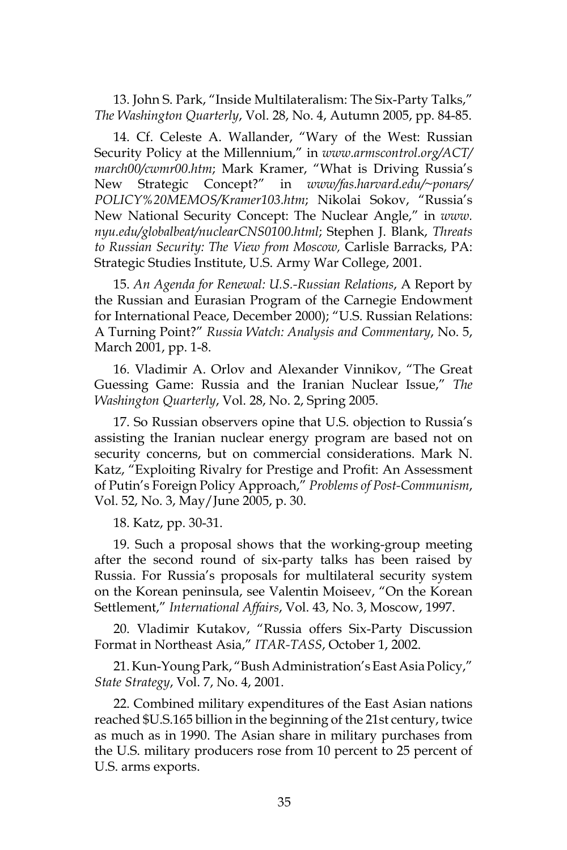13. John S. Park, "Inside Multilateralism: The Six-Party Talks," *The Washington Quarterly*, Vol. 28, No. 4, Autumn 2005, pp. 84-85.

14. Cf. Celeste A. Wallander, "Wary of the West: Russian Security Policy at the Millennium," in *www.armscontrol.org/ACT/ march00/cwmr00.htm*; Mark Kramer, "What is Driving Russia's New Strategic Concept?" in *www/fas.harvard.edu/~ponars/ POLICY%20MEMOS/Kramer103.htm*; Nikolai Sokov, "Russia's New National Security Concept: The Nuclear Angle," in *www. nyu.edu/globalbeat/nuclearCNS0100.html*; Stephen J. Blank, *Threats to Russian Security: The View from Moscow,* Carlisle Barracks, PA: Strategic Studies Institute, U.S. Army War College, 2001.

15. *An Agenda for Renewal: U.S.-Russian Relations*, A Report by the Russian and Eurasian Program of the Carnegie Endowment for International Peace, December 2000); "U.S. Russian Relations: A Turning Point?" *Russia Watch: Analysis and Commentary*, No. 5, March 2001, pp. 1-8.

16. Vladimir A. Orlov and Alexander Vinnikov, "The Great Guessing Game: Russia and the Iranian Nuclear Issue," *The Washington Quarterly*, Vol. 28, No. 2, Spring 2005.

17. So Russian observers opine that U.S. objection to Russia's assisting the Iranian nuclear energy program are based not on security concerns, but on commercial considerations. Mark N. Katz, "Exploiting Rivalry for Prestige and Profit: An Assessment of Putin's Foreign Policy Approach," *Problems of Post-Communism*, Vol. 52, No. 3, May/June 2005, p. 30.

18. Katz, pp. 30-31.

19. Such a proposal shows that the working-group meeting after the second round of six-party talks has been raised by Russia. For Russia's proposals for multilateral security system on the Korean peninsula, see Valentin Moiseev, "On the Korean Settlement," *International Affairs*, Vol. 43, No. 3, Moscow, 1997.

20. Vladimir Kutakov, "Russia offers Six-Party Discussion Format in Northeast Asia," *ITAR-TASS*, October 1, 2002.

21. Kun-Young Park, "Bush Administration's East Asia Policy," *State Strategy*, Vol. 7, No. 4, 2001.

22. Combined military expenditures of the East Asian nations reached \$U.S.165 billion in the beginning of the 21st century, twice as much as in 1990. The Asian share in military purchases from the U.S. military producers rose from 10 percent to 25 percent of U.S. arms exports.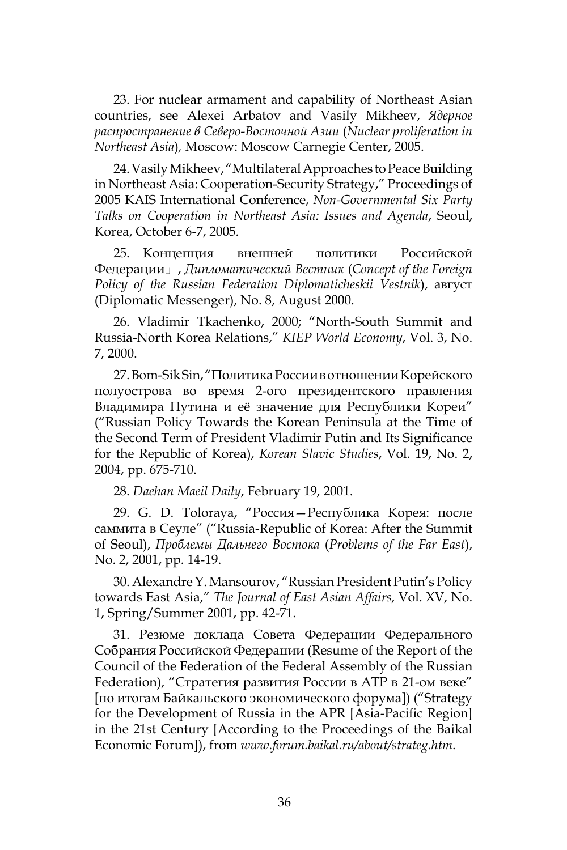23. For nuclear armament and capability of Northeast Asian countries, see Alexei Arbatov and Vasily Mikheev, *Ядерное распространение в Северо-Восточной Азии* (*Nuclear proliferation in Northeast Asia*)*,* Moscow: Moscow Carnegie Center, 2005.

24. Vasily Mikheev, "Multilateral Approaches to Peace Building in Northeast Asia: Cooperation-Security Strategy," Proceedings of 2005 KAIS International Conference, *Non-Governmental Six Party Talks on Cooperation in Northeast Asia: Issues and Agenda*, Seoul, Korea, October 6-7, 2005.

25.「Концепция внешней политики Российской Федерации」, *Дипломатический Вестник* (*Concept of the Foreign Policy of the Russian Federation Diplomaticheskii Vestnik*), август (Diplomatic Messenger), No. 8, August 2000.

26. Vladimir Tkachenko, 2000; "North-South Summit and Russia-North Korea Relations," *KIEP World Economy*, Vol. 3, No. 7, 2000.

27. Bom-Sik Sin, "Политика России в отношении Корейского полуострова во время 2-ого президентского правления Владимира Путина и её значение для Республики Кореи" ("Russian Policy Towards the Korean Peninsula at the Time of the Second Term of President Vladimir Putin and Its Significance for the Republic of Korea), *Korean Slavic Studies*, Vol. 19, No. 2, 2004, pp. 675-710.

28. *Daehan Maeil Daily*, February 19, 2001.

29. G. D. Toloraya, "Россия—Республика Корея: после саммита в Сеуле" ("Russia-Republic of Korea: After the Summit of Seoul), *Проблемы Дальнего Востока* (*Problems of the Far East*), No. 2, 2001, pp. 14-19.

30. Alexandre Y. Mansourov, "Russian President Putin's Policy towards East Asia," *The Journal of East Asian Affairs*, Vol. XV, No. 1, Spring/Summer 2001, pp. 42-71.

31. Резюме доклада Совета Федерации Федерального Собрания Российской Федерации (Resume of the Report of the Council of the Federation of the Federal Assembly of the Russian Federation), "Стратегия развития России в АТР в 21-ом веке" [по итогам Байкальского экономического форума]) ("Strategy for the Development of Russia in the APR [Asia-Pacific Region] in the 21st Century [According to the Proceedings of the Baikal Economic Forum]), from *www.forum.baikal.ru/about/strateg.htm*.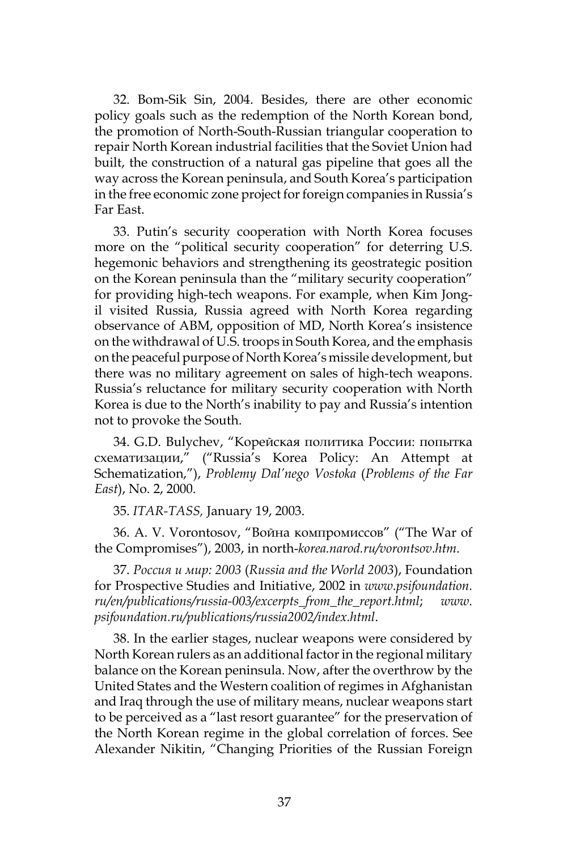32. Bom-Sik Sin, 2004. Besides, there are other economic policy goals such as the redemption of the North Korean bond, the promotion of North-South-Russian triangular cooperation to repair North Korean industrial facilities that the Soviet Union had built, the construction of a natural gas pipeline that goes all the way across the Korean peninsula, and South Korea's participation in the free economic zone project for foreign companies in Russia's Far East.

33. Putin's security cooperation with North Korea focuses more on the "political security cooperation" for deterring U.S. hegemonic behaviors and strengthening its geostrategic position on the Korean peninsula than the "military security cooperation" for providing high-tech weapons. For example, when Kim Jongil visited Russia, Russia agreed with North Korea regarding observance of ABM, opposition of MD, North Korea's insistence on the withdrawal of U.S. troops in South Korea, and the emphasis on the peaceful purpose of North Korea's missile development, but there was no military agreement on sales of high-tech weapons. Russia's reluctance for military security cooperation with North Korea is due to the North's inability to pay and Russia's intention not to provoke the South.

34. G.D. Bulychev, "Корейская политика России: попытка схематизации," ("Russia's Korea Policy: An Attempt at Schematization,"), *Problemy Dal'nego Vostoka* (*Problems of the Far East*), No. 2, 2000.

35. *ITAR-TASS,* January 19, 2003.

36. А. V. Vorontosov, "Война компромиссов" ("The War of the Compromises"), 2003, in north-*korea.narod.ru/vorontsov.htm*.

37. *Россия и мир: 2003* (*Russia and the World 2003*), Foundation for Prospective Studies and Initiative, 2002 in *www.psifoundation. ru/en/publications/russia-003/excerpts\_from\_the\_report.html*; *www. psifoundation.ru/publications/russia2002/index.html*.

38. In the earlier stages, nuclear weapons were considered by North Korean rulers as an additional factor in the regional military balance on the Korean peninsula. Now, after the overthrow by the United States and the Western coalition of regimes in Afghanistan and Iraq through the use of military means, nuclear weapons start to be perceived as a "last resort guarantee" for the preservation of the North Korean regime in the global correlation of forces. See Alexander Nikitin, "Changing Priorities of the Russian Foreign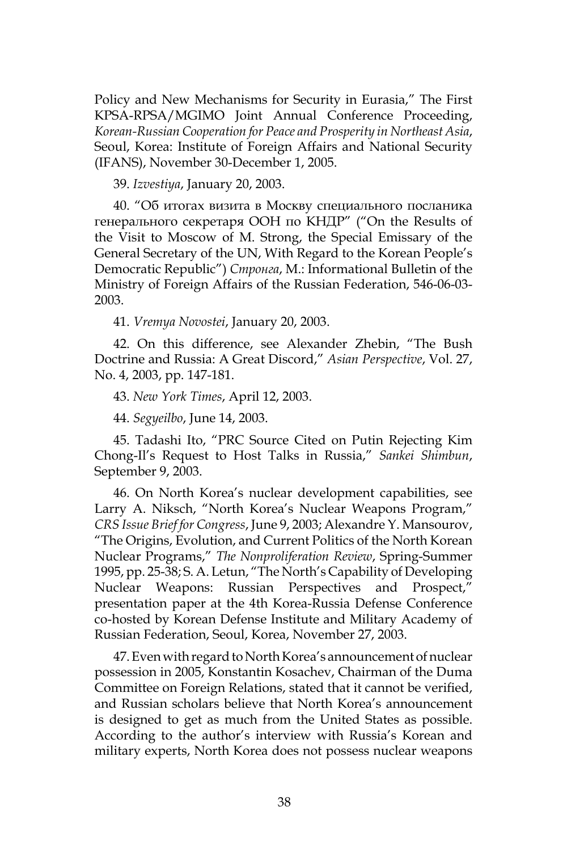Policy and New Mechanisms for Security in Eurasia," The First KPSA-RPSA/MGIMO Joint Annual Conference Proceeding, *Korean-Russian Cooperation for Peace and Prosperity in Northeast Asia*, Seoul, Korea: Institute of Foreign Affairs and National Security (IFANS), November 30-December 1, 2005.

39. *Izvestiya*, January 20, 2003.

40. "Об итогах визита в Москву специального посланика генерального секретаря ООН по КНДР" ("On the Results of the Visit to Moscow of M. Strong, the Special Emissary of the General Secretary of the UN, With Regard to the Korean People's Democratic Republic") *Стронга*, М.: Informational Bulletin of the Ministry of Foreign Affairs of the Russian Federation, 546-06-03- 2003.

41. *Vremya Novostei*, January 20, 2003.

42. On this difference, see Alexander Zhebin, "The Bush Doctrine and Russia: A Great Discord," *Asian Perspective*, Vol. 27, No. 4, 2003, pp. 147-181.

43. *New York Times*, April 12, 2003.

44. *Segyeilbo*, June 14, 2003.

45. Tadashi Ito, "PRC Source Cited on Putin Rejecting Kim Chong-Il's Request to Host Talks in Russia," *Sankei Shimbun*, September 9, 2003.

46. On North Korea's nuclear development capabilities, see Larry A. Niksch, "North Korea's Nuclear Weapons Program," *CRS Issue Brief for Congress*, June 9, 2003; Alexandre Y. Mansourov, "The Origins, Evolution, and Current Politics of the North Korean Nuclear Programs," *The Nonproliferation Review*, Spring-Summer 1995, pp. 25-38; S. A. Letun, "The North's Capability of Developing Nuclear Weapons: Russian Perspectives and Prospect," presentation paper at the 4th Korea-Russia Defense Conference co-hosted by Korean Defense Institute and Military Academy of Russian Federation, Seoul, Korea, November 27, 2003.

47. Even with regard to North Korea's announcement of nuclear possession in 2005, Konstantin Kosachev, Chairman of the Duma Committee on Foreign Relations, stated that it cannot be verified, and Russian scholars believe that North Korea's announcement is designed to get as much from the United States as possible. According to the author's interview with Russia's Korean and military experts, North Korea does not possess nuclear weapons